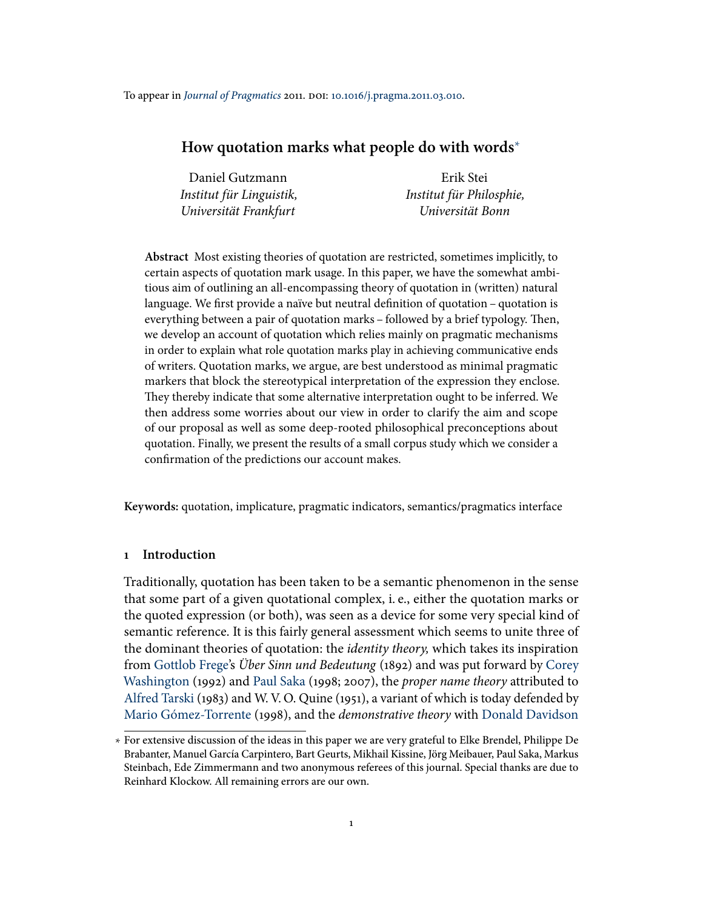To appear in [Journal of Pragmatics](http://www.elsevier.com/wps/find/journaldescription.cws_home/505593/description#description) 2011. DOI: [10.1016/j.pragma.2011.03.010.](http://dx.doi.org/10.1016/j.pragma.2011.03.010)

# **How quotation marks what people do with words**<sup>∗</sup>

| Erik Stei                |
|--------------------------|
| Institut für Philosphie, |
| Universität Bonn         |
|                          |

**Abstract** Most existing theories of quotation are restricted, sometimes implicitly, to certain aspects of quotation mark usage. In this paper, we have the somewhat ambitious aim of outlining an all-encompassing theory of quotation in (written) natural language. We first provide a naïve but neutral definition of quotation – quotation is everything between a pair of quotation marks – followed by a brief typology. Then, we develop an account of quotation which relies mainly on pragmatic mechanisms in order to explain what role quotation marks play in achieving communicative ends of writers. Quotation marks, we argue, are best understood as minimal pragmatic markers that block the stereotypical interpretation of the expression they enclose. They thereby indicate that some alternative interpretation ought to be inferred. We then address some worries about our view in order to clarify the aim and scope of our proposal as well as some deep-rooted philosophical preconceptions about quotation. Finally, we present the results of a small corpus study which we consider a confirmation of the predictions our account makes.

**Keywords:** quotation, implicature, pragmatic indicators, semantics/pragmatics interface

### <span id="page-0-0"></span>**1 Introduction**

Traditionally, quotation has been taken to be a semantic phenomenon in the sense that some part of a given quotational complex, i. e., either the quotation marks or the quoted expression (or both), was seen as a device for some very special kind of semantic reference. It is this fairly general assessment which seems to unite three of the dominant theories of quotation: the *identity theory*, which takes its inspiration from [Gottlob Frege'](#page-23-0)s Über Sinn und Bedeutung (1892) and was put forward by [Corey](#page-24-0) [Washington](#page-24-0) (1992) and [Paul Saka](#page-24-1) (1998; 2007), the *proper name theory* attributed to [Alfred Tarski](#page-24-2) (1983) and W. V. O. Quine (1951), a variant of which is today defended by [Mario Gómez-Torrente](#page-23-1) (1998), and the demonstrative theory with [Donald Davidson](#page-23-2)

<sup>∗</sup> For extensive discussion of the ideas in this paper we are very grateful to Elke Brendel, Philippe De Brabanter, Manuel García Carpintero, Bart Geurts, Mikhail Kissine, Jörg Meibauer, Paul Saka, Markus Steinbach, Ede Zimmermann and two anonymous referees of this journal. Special thanks are due to Reinhard Klockow. All remaining errors are our own.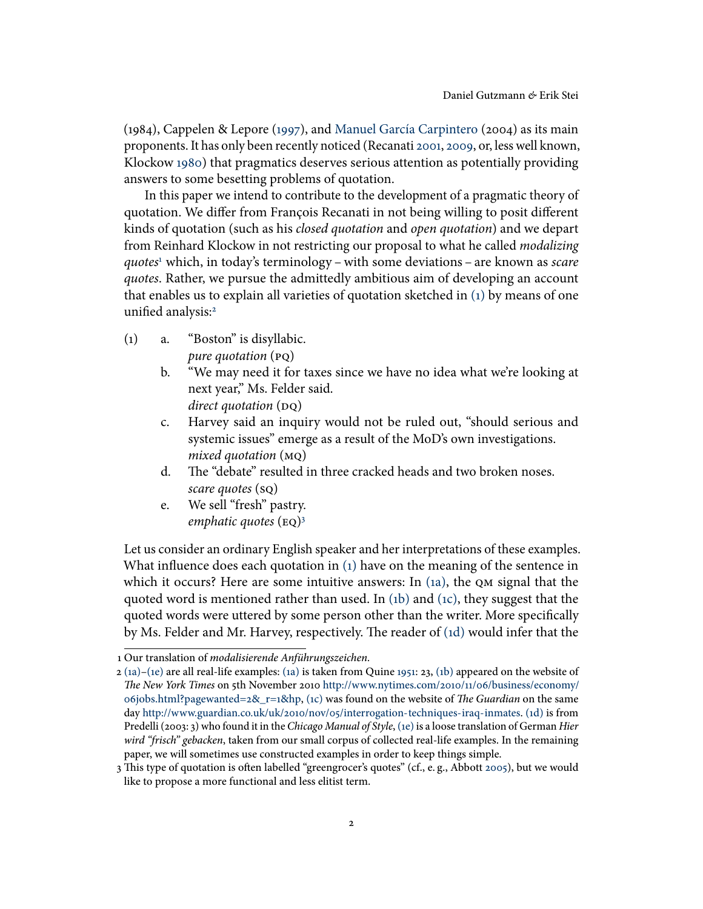(1984), Cappelen & Lepore [\(1997\)](#page-22-0), and [Manuel García Carpintero](#page-23-3) (2004) as its main proponents. It has only been recently noticed (Recanati [2001,](#page-24-3) [2009,](#page-24-4) or, less well known, Klockow [1980\)](#page-23-4) that pragmatics deserves serious attention as potentially providing answers to some besetting problems of quotation.

In this paper we intend to contribute to the development of a pragmatic theory of quotation. We differ from François Recanati in not being willing to posit different kinds of quotation (such as his closed quotation and open quotation) and we depart from Reinhard Klockow in not restricting our proposal to what he called modalizing quotes<sup>[1](#page-1-0)</sup> which, in today's terminology – with some deviations – are known as *scare* quotes. Rather, we pursue the admittedly ambitious aim of developing an account that enables us to explain all varieties of quotation sketched in [\(1\)](#page-1-1) by means of one unified analysis:<sup>[2](#page-1-2)</sup>

- <span id="page-1-6"></span><span id="page-1-5"></span><span id="page-1-4"></span><span id="page-1-1"></span>(1) a. "Boston" is disyllabic. pure quotation (pq)
	- b. "We may need it for taxes since we have no idea what we're looking at next year," Ms. Felder said. direct quotation  $(pq)$
	- c. Harvey said an inquiry would not be ruled out, "should serious and systemic issues" emerge as a result of the MoD's own investigations. mixed quotation (mq)
	- d. The "debate" resulted in three cracked heads and two broken noses. scare quotes (sq)
	- e. We sell "fresh" pastry. emphatic quotes  $(EO)^3$  $(EO)^3$

<span id="page-1-8"></span><span id="page-1-7"></span>Let us consider an ordinary English speaker and her interpretations of these examples. What influence does each quotation in  $(1)$  have on the meaning of the sentence in which it occurs? Here are some intuitive answers: In  $(1a)$ , the QM signal that the quoted word is mentioned rather than used. In [\(1b\)](#page-1-5) and [\(1c\),](#page-1-6) they suggest that the quoted words were uttered by some person other than the writer. More specifically by Ms. Felder and Mr. Harvey, respectively. The reader of [\(1d\)](#page-1-7) would infer that the

<span id="page-1-0"></span><sup>1</sup> Our translation of modalisierende Anführungszeichen.

<span id="page-1-2"></span><sup>2</sup> [\(1a\)–](#page-1-4)[\(1e\)](#page-1-8) are all real-life examples: [\(1a\)](#page-1-4) is taken from Quine [1951:](#page-24-5) 23, [\(1b\)](#page-1-5) appeared on the website of e New York Times on 5th November 2010 [http://www.nytimes.com/2010/11/06/business/economy/](http://www.nytimes.com/2010/11/06/business/economy/06jobs.html?pagewanted=2&_r=1&hp) [06jobs.html?pagewanted=2&\\_r=1&hp,](http://www.nytimes.com/2010/11/06/business/economy/06jobs.html?pagewanted=2&_r=1&hp) [\(1c\)](#page-1-6) was found on the website of The Guardian on the same day [http://www.guardian.co.uk/uk/2010/nov/05/interrogation-techniques-iraq-inmates.](http://www.guardian.co.uk/uk/2010/nov/05/interrogation-techniques-iraq-inmates) [\(1d\)](#page-1-7) is from Predelli (2003: 3) who found it in the Chicago Manual of Style, [\(1e\)](#page-1-8) is a loose translation of German Hier wird "frisch" gebacken, taken from our small corpus of collected real-life examples. In the remaining paper, we will sometimes use constructed examples in order to keep things simple.

<span id="page-1-3"></span><sup>3</sup> This type of quotation is often labelled "greengrocer's quotes" (cf., e.g., Abbott [2005\)](#page-22-1), but we would like to propose a more functional and less elitist term.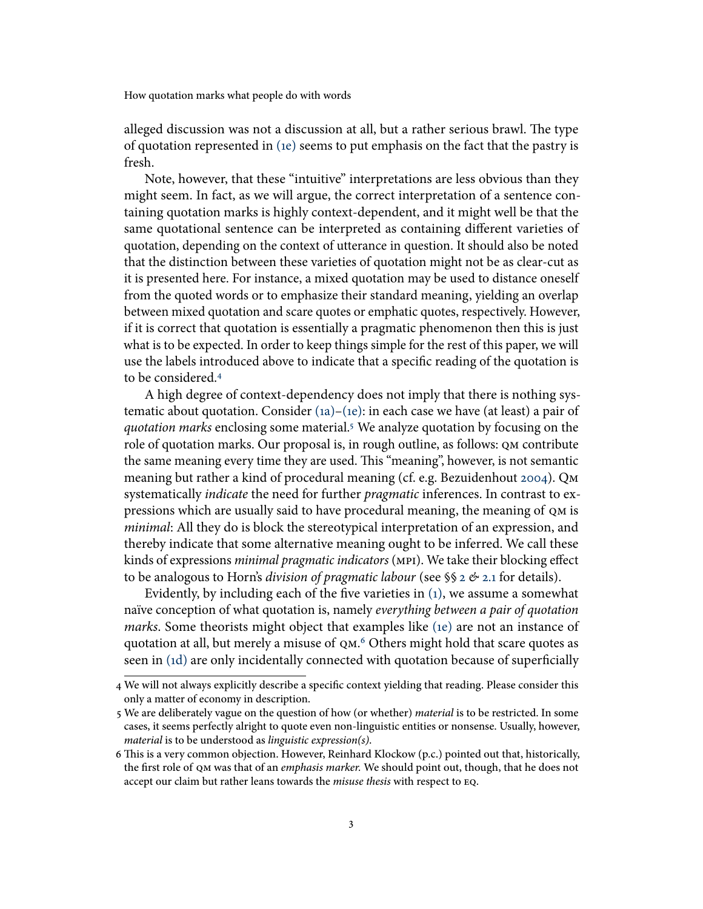alleged discussion was not a discussion at all, but a rather serious brawl. The type of quotation represented in [\(1e\)](#page-1-8) seems to put emphasis on the fact that the pastry is fresh.

Note, however, that these "intuitive" interpretations are less obvious than they might seem. In fact, as we will argue, the correct interpretation of a sentence containing quotation marks is highly context-dependent, and it might well be that the same quotational sentence can be interpreted as containing different varieties of quotation, depending on the context of utterance in question. It should also be noted that the distinction between these varieties of quotation might not be as clear-cut as it is presented here. For instance, a mixed quotation may be used to distance oneself from the quoted words or to emphasize their standard meaning, yielding an overlap between mixed quotation and scare quotes or emphatic quotes, respectively. However, if it is correct that quotation is essentially a pragmatic phenomenon then this is just what is to be expected. In order to keep things simple for the rest of this paper, we will use the labels introduced above to indicate that a specific reading of the quotation is to be considered.[4](#page-2-0)

A high degree of context-dependency does not imply that there is nothing systematic about quotation. Consider [\(1a\)](#page-1-4)[–\(1e\):](#page-1-8) in each case we have (at least) a pair of quotation marks enclosing some material.<sup>[5](#page-2-1)</sup> We analyze quotation by focusing on the role of quotation marks. Our proposal is, in rough outline, as follows: QM contribute the same meaning every time they are used. This "meaning", however, is not semantic meaning but rather a kind of procedural meaning (cf. e.g. Bezuidenhout [2004\)](#page-22-2). Qm systematically *indicate* the need for further *pragmatic* inferences. In contrast to expressions which are usually said to have procedural meaning, the meaning of qm is minimal: All they do is block the stereotypical interpretation of an expression, and thereby indicate that some alternative meaning ought to be inferred. We call these kinds of expressions minimal pragmatic indicators (MPI). We take their blocking effect to be analogous to Horn's *division of pragmatic labour* (see  $\S$   $\S$   $\geq$   $\&$   $\S$   $\geq$ .1 for details).

Evidently, by including each of the five varieties in  $(1)$ , we assume a somewhat naïve conception of what quotation is, namely everything between a pair of quotation marks. Some theorists might object that examples like [\(1e\)](#page-1-8) are not an instance of quotation at all, but merely a misuse of qm. [6](#page-2-2) Others might hold that scare quotes as seen in [\(1d\)](#page-1-7) are only incidentally connected with quotation because of superficially

<span id="page-2-0"></span><sup>4</sup> We will not always explicitly describe a specific context yielding that reading. Please consider this only a matter of economy in description.

<span id="page-2-1"></span><sup>5</sup> We are deliberately vague on the question of how (or whether) material is to be restricted. In some cases, it seems perfectly alright to quote even non-linguistic entities or nonsense. Usually, however, material is to be understood as linguistic expression(s).

<span id="page-2-2"></span><sup>6</sup> This is a very common objection. However, Reinhard Klockow (p.c.) pointed out that, historically, the first role of QM was that of an emphasis marker. We should point out, though, that he does not accept our claim but rather leans towards the misuse thesis with respect to EQ.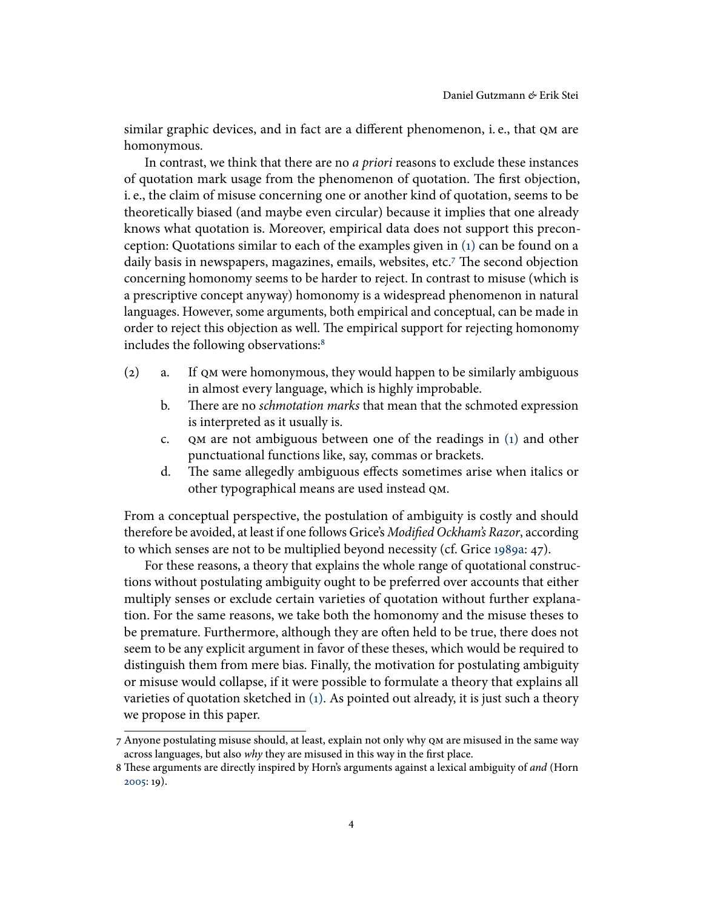similar graphic devices, and in fact are a different phenomenon, i.e., that  $QM$  are homonymous.

In contrast, we think that there are no *a priori* reasons to exclude these instances of quotation mark usage from the phenomenon of quotation. The first objection, i. e., the claim of misuse concerning one or another kind of quotation, seems to be theoretically biased (and maybe even circular) because it implies that one already knows what quotation is. Moreover, empirical data does not support this preconception: Quotations similar to each of the examples given in [\(1\)](#page-1-1) can be found on a daily basis in newspapers, magazines, emails, websites, etc. $7$  The second objection concerning homonomy seems to be harder to reject. In contrast to misuse (which is a prescriptive concept anyway) homonomy is a widespread phenomenon in natural languages. However, some arguments, both empirical and conceptual, can be made in order to reject this objection as well. The empirical support for rejecting homonomy includes the following observations:[8](#page-3-1)

- (2) a. If qm were homonymous, they would happen to be similarly ambiguous in almost every language, which is highly improbable.
	- b. There are no schmotation marks that mean that the schmoted expression is interpreted as it usually is.
	- c. qm are not ambiguous between one of the readings in [\(1\)](#page-1-1) and other punctuational functions like, say, commas or brackets.
	- d. The same allegedly ambiguous effects sometimes arise when italics or other typographical means are used instead qm.

From a conceptual perspective, the postulation of ambiguity is costly and should therefore be avoided, at least if one follows Grice's Modified Ockham's Razor, according to which senses are not to be multiplied beyond necessity (cf. Grice [1989a:](#page-23-5) 47).

For these reasons, a theory that explains the whole range of quotational constructions without postulating ambiguity ought to be preferred over accounts that either multiply senses or exclude certain varieties of quotation without further explanation. For the same reasons, we take both the homonomy and the misuse theses to be premature. Furthermore, although they are often held to be true, there does not seem to be any explicit argument in favor of these theses, which would be required to distinguish them from mere bias. Finally, the motivation for postulating ambiguity or misuse would collapse, if it were possible to formulate a theory that explains all varieties of quotation sketched in [\(1\).](#page-1-1) As pointed out already, it is just such a theory we propose in this paper.

<span id="page-3-0"></span><sup>7</sup> Anyone postulating misuse should, at least, explain not only why qm are misused in the same way across languages, but also  $why$  they are misused in this way in the first place.

<span id="page-3-1"></span><sup>8</sup> These arguments are directly inspired by Horn's arguments against a lexical ambiguity of and (Horn [2005:](#page-23-6) 19).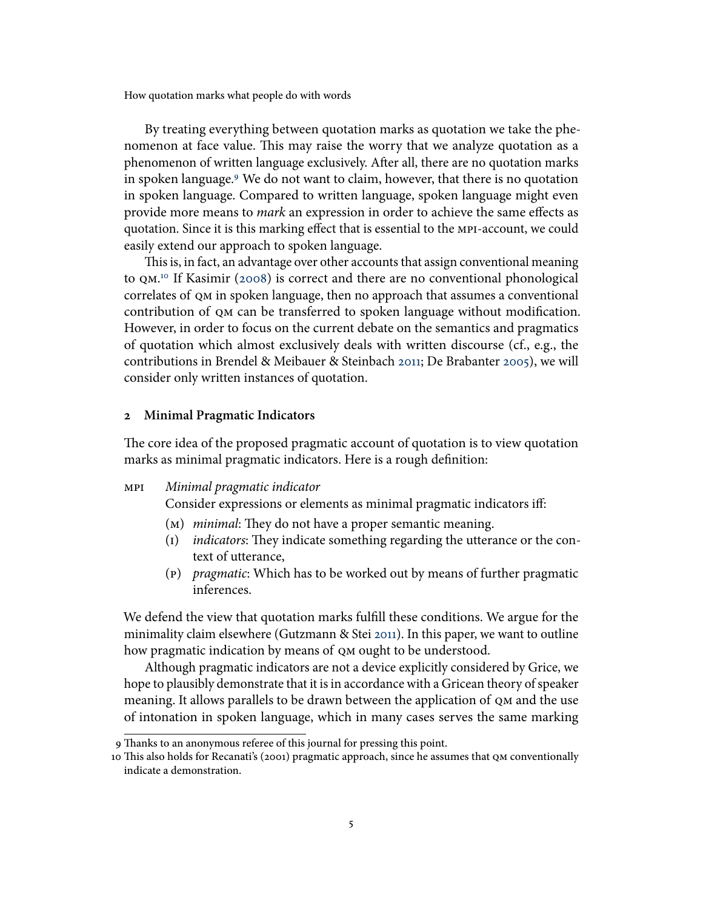By treating everything between quotation marks as quotation we take the phenomenon at face value. This may raise the worry that we analyze quotation as a phenomenon of written language exclusively. After all, there are no quotation marks in spoken language.[9](#page-4-1) We do not want to claim, however, that there is no quotation in spoken language. Compared to written language, spoken language might even provide more means to *mark* an expression in order to achieve the same effects as quotation. Since it is this marking effect that is essential to the MPI-account, we could easily extend our approach to spoken language.

This is, in fact, an advantage over other accounts that assign conventional meaning to  $OM^{10}$  $OM^{10}$  $OM^{10}$  If Kasimir [\(2008\)](#page-23-7) is correct and there are no conventional phonological correlates of qm in spoken language, then no approach that assumes a conventional contribution of QM can be transferred to spoken language without modification. However, in order to focus on the current debate on the semantics and pragmatics of quotation which almost exclusively deals with written discourse (cf., e.g., the contributions in Brendel & Meibauer & Steinbach [2011;](#page-22-3) De Brabanter [2005\)](#page-23-8), we will consider only written instances of quotation.

# <span id="page-4-0"></span>**2 Minimal Pragmatic Indicators**

The core idea of the proposed pragmatic account of quotation is to view quotation marks as minimal pragmatic indicators. Here is a rough definition:

mpi Minimal pragmatic indicator

Consider expressions or elements as minimal pragmatic indicators iff:

- $(M)$  *minimal*: They do not have a proper semantic meaning.
- $(i)$  *indicators*: They indicate something regarding the utterance or the context of utterance,
- (p) pragmatic: Which has to be worked out by means of further pragmatic inferences.

We defend the view that quotation marks fulfill these conditions. We argue for the minimality claim elsewhere (Gutzmann & Stei [2011\)](#page-23-9). In this paper, we want to outline how pragmatic indication by means of QM ought to be understood.

Although pragmatic indicators are not a device explicitly considered by Grice, we hope to plausibly demonstrate that it is in accordance with a Gricean theory of speaker meaning. It allows parallels to be drawn between the application of QM and the use of intonation in spoken language, which in many cases serves the same marking

<span id="page-4-1"></span><sup>9</sup> Thanks to an anonymous referee of this journal for pressing this point.

<span id="page-4-2"></span><sup>10</sup> is also holds for Recanati's (2001) pragmatic approach, since he assumes that qm conventionally indicate a demonstration.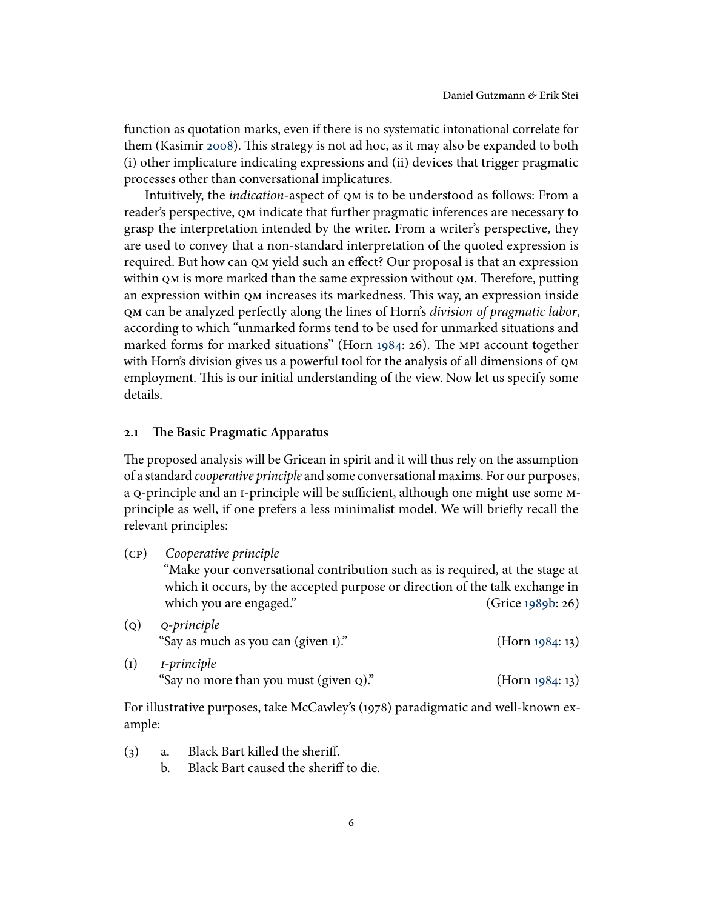function as quotation marks, even if there is no systematic intonational correlate for them (Kasimir  $2008$ ). This strategy is not ad hoc, as it may also be expanded to both (i) other implicature indicating expressions and (ii) devices that trigger pragmatic processes other than conversational implicatures.

Intuitively, the indication-aspect of qm is to be understood as follows: From a reader's perspective, qm indicate that further pragmatic inferences are necessary to grasp the interpretation intended by the writer. From a writer's perspective, they are used to convey that a non-standard interpretation of the quoted expression is required. But how can QM yield such an effect? Our proposal is that an expression within QM is more marked than the same expression without QM. Therefore, putting an expression within  $QM$  increases its markedness. This way, an expression inside qm can be analyzed perfectly along the lines of Horn's division of pragmatic labor, according to which "unmarked forms tend to be used for unmarked situations and marked forms for marked situations" (Horn [1984:](#page-23-10) 26). The MPI account together with Horn's division gives us a powerful tool for the analysis of all dimensions of qm employment. This is our initial understanding of the view. Now let us specify some details.

### <span id="page-5-0"></span>**2.1 e Basic Pragmatic Apparatus**

The proposed analysis will be Gricean in spirit and it will thus rely on the assumption of a standard cooperative principle and some conversational maxims. For our purposes, a q-principle and an *I*-principle will be sufficient, although one might use some Mprinciple as well, if one prefers a less minimalist model. We will briefly recall the relevant principles:

| (CP) | Cooperative principle                                                         |                   |
|------|-------------------------------------------------------------------------------|-------------------|
|      | "Make your conversational contribution such as is required, at the stage at   |                   |
|      | which it occurs, by the accepted purpose or direction of the talk exchange in |                   |
|      | which you are engaged."                                                       | (Grice 1989b: 26) |
| (Q)  | Q-principle                                                                   |                   |
|      | "Say as much as you can (given I)."                                           | (Horn 1984:13)    |
|      |                                                                               |                   |

 $(i)$  *I-principle* "Say no more than you must (given  $Q$ )." (Horn [1984:](#page-23-10) 13)

For illustrative purposes, take McCawley's (1978) paradigmatic and well-known example:

- <span id="page-5-2"></span><span id="page-5-1"></span> $(3)$  a. Black Bart killed the sheriff.
	- b. Black Bart caused the sheriff to die.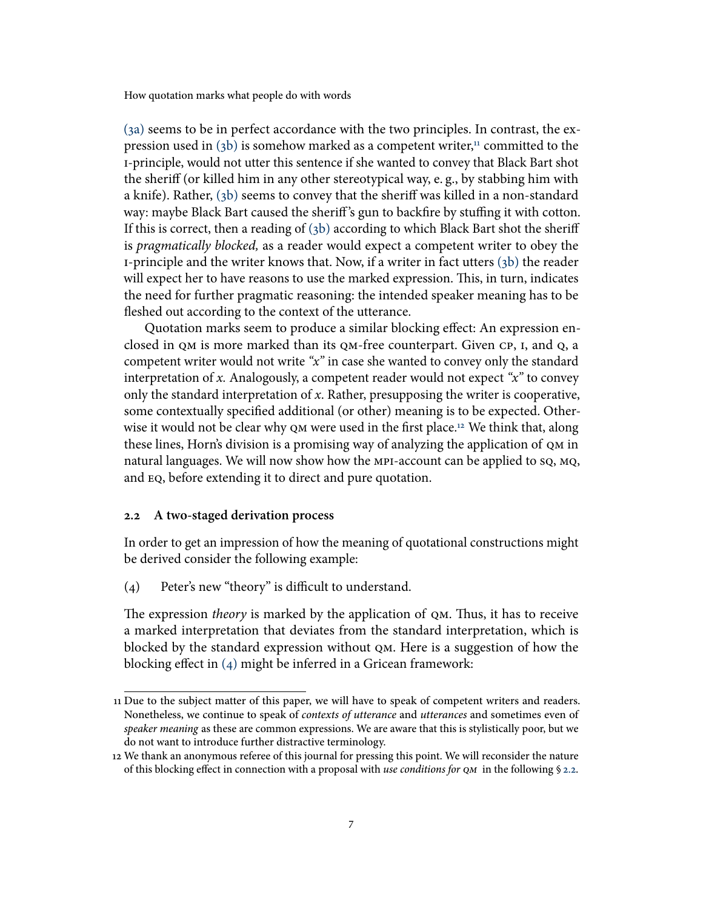[\(3a\)](#page-5-1) seems to be in perfect accordance with the two principles. In contrast, the expression used in  $(3b)$  is somehow marked as a competent writer, $11$  committed to the i-principle, would not utter this sentence if she wanted to convey that Black Bart shot the sheriff (or killed him in any other stereotypical way, e.g., by stabbing him with a knife). Rather, [\(3b\)](#page-5-2) seems to convey that the sheriff was killed in a non-standard way: maybe Black Bart caused the sheriff's gun to backfire by stuffing it with cotton. If this is correct, then a reading of  $(3b)$  according to which Black Bart shot the sheriff is pragmatically blocked, as a reader would expect a competent writer to obey the  $i$ -principle and the writer knows that. Now, if a writer in fact utters  $(3b)$  the reader will expect her to have reasons to use the marked expression. This, in turn, indicates the need for further pragmatic reasoning: the intended speaker meaning has to be fleshed out according to the context of the utterance.

Quotation marks seem to produce a similar blocking effect: An expression enclosed in QM is more marked than its QM-free counterpart. Given CP, I, and Q, a competent writer would not write "x" in case she wanted to convey only the standard interpretation of x. Analogously, a competent reader would not expect " $x$ " to convey only the standard interpretation of  $x$ . Rather, presupposing the writer is cooperative, some contextually specified additional (or other) meaning is to be expected. Other-wise it would not be clear why QM were used in the first place.<sup>[12](#page-6-1)</sup> We think that, along these lines, Horn's division is a promising way of analyzing the application of qm in natural languages. We will now show how the MPI-account can be applied to sq, Mq, and eq, before extending it to direct and pure quotation.

### <span id="page-6-3"></span>**2.2 A two-staged derivation process**

In order to get an impression of how the meaning of quotational constructions might be derived consider the following example:

<span id="page-6-2"></span> $(4)$  Peter's new "theory" is difficult to understand.

The expression *theory* is marked by the application of  $QM$ . Thus, it has to receive a marked interpretation that deviates from the standard interpretation, which is blocked by the standard expression without qm. Here is a suggestion of how the blocking effect in  $(4)$  might be inferred in a Gricean framework:

<span id="page-6-4"></span><span id="page-6-0"></span><sup>11</sup> Due to the subject matter of this paper, we will have to speak of competent writers and readers. Nonetheless, we continue to speak of *contexts of utterance* and *utterances* and sometimes even of speaker meaning as these are common expressions. We are aware that this is stylistically poor, but we do not want to introduce further distractive terminology.

<span id="page-6-1"></span><sup>12</sup> We thank an anonymous referee of this journal for pressing this point. We will reconsider the nature of this blocking effect in connection with a proposal with use conditions for  $QM$  in the following § [2.2.](#page-6-3)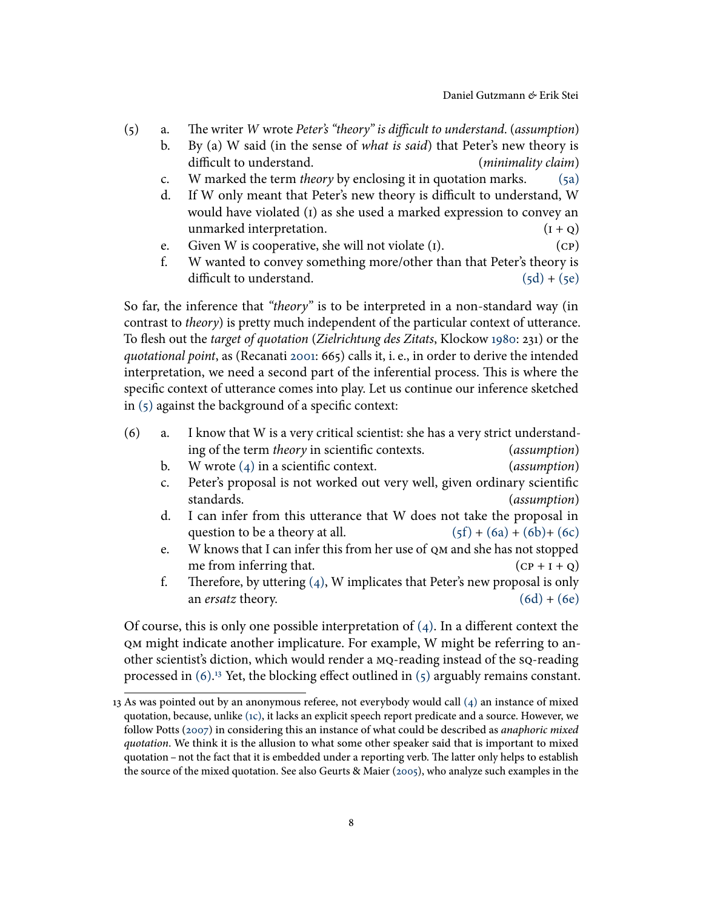- <span id="page-7-1"></span><span id="page-7-0"></span> $(5)$  a. The writer W wrote Peter's "theory" is difficult to understand. (assumption)
	- b. By (a) W said (in the sense of what is said) that Peter's new theory is difficult to understand. (*minimality claim*)
	- c. W marked the term *theory* by enclosing it in quotation marks.  $(5a)$
	- d. If W only meant that Peter's new theory is difficult to understand, W would have violated (i) as she used a marked expression to convey an unmarked interpretation.  $(I + Q)$
	- e. Given W is cooperative, she will not violate  $(i)$ .  $(CP)$
	- f. W wanted to convey something more/other than that Peter's theory is difficult to understand.  $(5d) + (5e)$  $(5d) + (5e)$  $(5d) + (5e)$

<span id="page-7-3"></span><span id="page-7-2"></span>So far, the inference that "theory" is to be interpreted in a non-standard way (in contrast to theory) is pretty much independent of the particular context of utterance. To flesh out the target of quotation (Zielrichtung des Zitats, Klockow [1980:](#page-23-4) 231) or the quotational point, as (Recanati [2001:](#page-24-3) 665) calls it, i. e., in order to derive the intended interpretation, we need a second part of the inferential process. This is where the specific context of utterance comes into play. Let us continue our inference sketched in  $(5)$  against the background of a specific context:

<span id="page-7-9"></span><span id="page-7-5"></span><span id="page-7-4"></span>

| (6) |  | I know that W is a very critical scientist: she has a very strict understand- |              |
|-----|--|-------------------------------------------------------------------------------|--------------|
|     |  | ing of the term <i>theory</i> in scientific contexts.                         | (assumption) |

- b. W wrote  $(4)$  in a scientific context. (assumption)
- <span id="page-7-6"></span>c. Peter's proposal is not worked out very well, given ordinary scientific standards. (*assumption*)
- <span id="page-7-7"></span>d. I can infer from this utterance that W does not take the proposal in question to be a theory at all.  $(5f) + (6a) + (6b) + (6c)$  $(5f) + (6a) + (6b) + (6c)$  $(5f) + (6a) + (6b) + (6c)$  $(5f) + (6a) + (6b) + (6c)$  $(5f) + (6a) + (6b) + (6c)$
- <span id="page-7-8"></span>e. W knows that I can infer this from her use of qm and she has not stopped me from inferring that.  $(CP + I + Q)$
- f. Therefore, by uttering  $(4)$ , W implicates that Peter's new proposal is only an *ersatz* theory.  $(6d) + (6e)$  $(6d) + (6e)$  $(6d) + (6e)$

Of course, this is only one possible interpretation of  $(4)$ . In a different context the qm might indicate another implicature. For example, W might be referring to another scientist's diction, which would render a mq-reading instead of the sq-reading processed in  $(6)$ .<sup>[13](#page-7-10)</sup> Yet, the blocking effect outlined in  $(5)$  arguably remains constant.

<span id="page-7-10"></span><sup>13</sup> As was pointed out by an anonymous referee, not everybody would call [\(4\)](#page-6-2) an instance of mixed quotation, because, unlike [\(1c\),](#page-1-6) it lacks an explicit speech report predicate and a source. However, we follow Potts [\(2007\)](#page-24-6) in considering this an instance of what could be described as anaphoric mixed quotation. We think it is the allusion to what some other speaker said that is important to mixed quotation – not the fact that it is embedded under a reporting verb. The latter only helps to establish the source of the mixed quotation. See also Geurts & Maier [\(2005\)](#page-23-12), who analyze such examples in the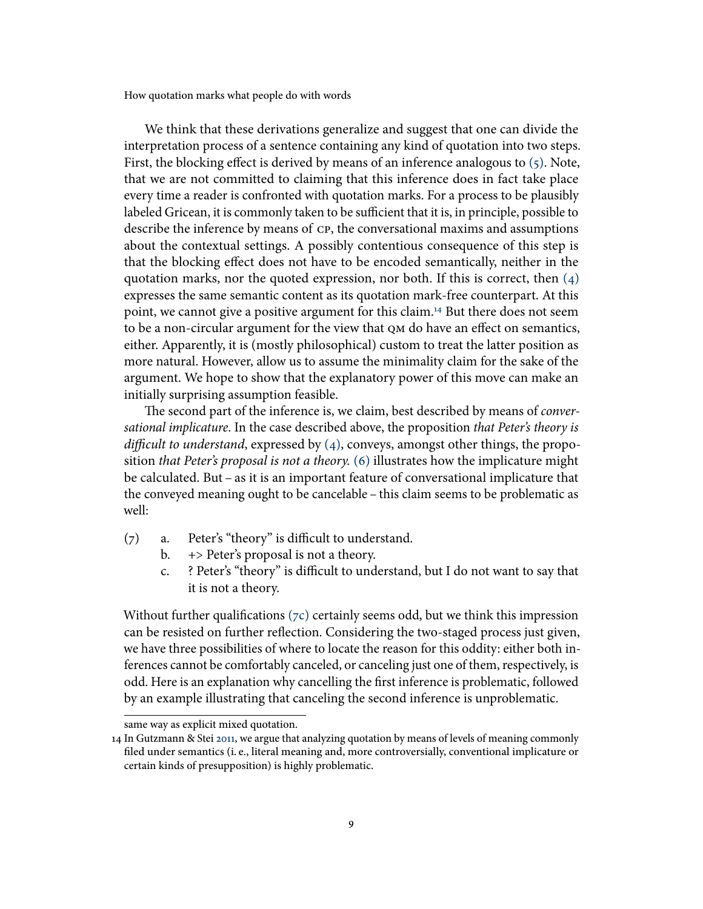We think that these derivations generalize and suggest that one can divide the interpretation process of a sentence containing any kind of quotation into two steps. First, the blocking effect is derived by means of an inference analogous to  $(5)$ . Note, that we are not committed to claiming that this inference does in fact take place every time a reader is confronted with quotation marks. For a process to be plausibly labeled Gricean, it is commonly taken to be sufficient that it is, in principle, possible to describe the inference by means of cp, the conversational maxims and assumptions about the contextual settings. A possibly contentious consequence of this step is that the blocking effect does not have to be encoded semantically, neither in the quotation marks, nor the quoted expression, nor both. If this is correct, then  $(4)$ expresses the same semantic content as its quotation mark-free counterpart. At this point, we cannot give a positive argument for this claim.[14](#page-8-0) But there does not seem to be a non-circular argument for the view that QM do have an effect on semantics, either. Apparently, it is (mostly philosophical) custom to treat the latter position as more natural. However, allow us to assume the minimality claim for the sake of the argument. We hope to show that the explanatory power of this move can make an initially surprising assumption feasible.

The second part of the inference is, we claim, best described by means of *conver*sational implicature. In the case described above, the proposition that Peter's theory is difficult to understand, expressed by  $(4)$ , conveys, amongst other things, the propo-sition that Peter's proposal is not a theory. [\(6\)](#page-7-9) illustrates how the implicature might be calculated. But – as it is an important feature of conversational implicature that the conveyed meaning ought to be cancelable – this claim seems to be problematic as well:

- <span id="page-8-2"></span><span id="page-8-1"></span> $(7)$  a. Peter's "theory" is difficult to understand.
	- b.  $\rightarrow$  Peter's proposal is not a theory.
	- c. ? Peter's "theory" is difficult to understand, but I do not want to say that it is not a theory.

Without further qualifications  $(zc)$  certainly seems odd, but we think this impression can be resisted on further reflection. Considering the two-staged process just given, we have three possibilities of where to locate the reason for this oddity: either both inferences cannot be comfortably canceled, or canceling just one of them, respectively, is odd. Here is an explanation why cancelling the first inference is problematic, followed by an example illustrating that canceling the second inference is unproblematic.

<span id="page-8-0"></span>same way as explicit mixed quotation.

<sup>14</sup> In Gutzmann & Stei [2011,](#page-23-9) we argue that analyzing quotation by means of levels of meaning commonly filed under semantics (i. e., literal meaning and, more controversially, conventional implicature or certain kinds of presupposition) is highly problematic.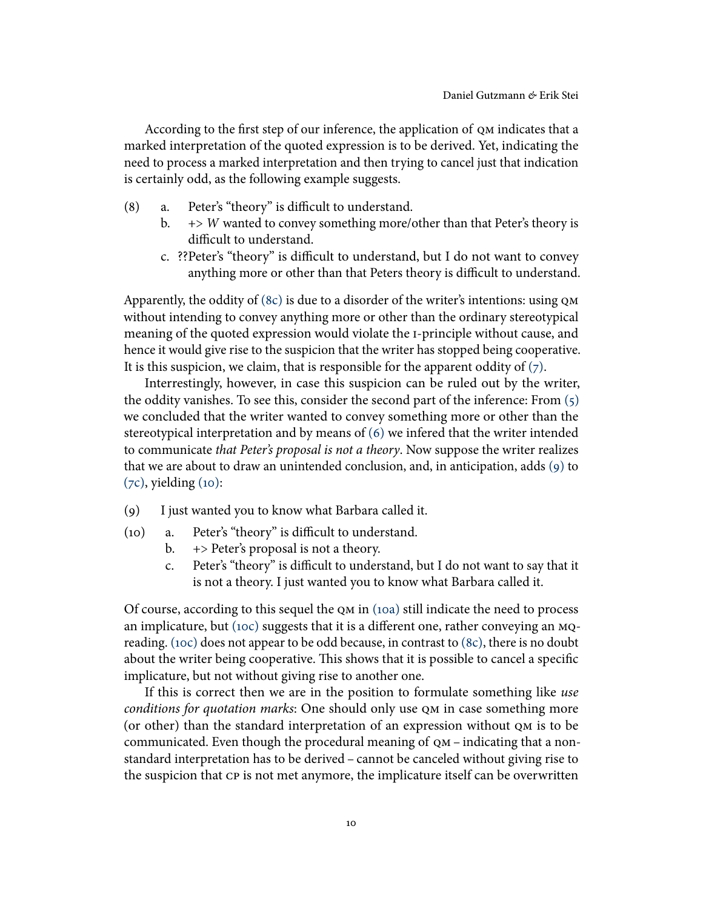According to the first step of our inference, the application of  $\alpha$  indicates that a marked interpretation of the quoted expression is to be derived. Yet, indicating the need to process a marked interpretation and then trying to cancel just that indication is certainly odd, as the following example suggests.

- <span id="page-9-0"></span> $(8)$  a. Peter's "theory" is difficult to understand.
	- b.  $\rightarrow$  W wanted to convey something more/other than that Peter's theory is difficult to understand.
	- c. ??Peter's "theory" is difficult to understand, but I do not want to convey anything more or other than that Peters theory is difficult to understand.

Apparently, the oddity of  $(8c)$  is due to a disorder of the writer's intentions: using  $QM$ without intending to convey anything more or other than the ordinary stereotypical meaning of the quoted expression would violate the i-principle without cause, and hence it would give rise to the suspicion that the writer has stopped being cooperative. It is this suspicion, we claim, that is responsible for the apparent oddity of  $(7)$ .

Interrestingly, however, in case this suspicion can be ruled out by the writer, the oddity vanishes. To see this, consider the second part of the inference: From [\(5\)](#page-6-4) we concluded that the writer wanted to convey something more or other than the stereotypical interpretation and by means of [\(6\)](#page-7-9) we infered that the writer intended to communicate that Peter's proposal is not a theory. Now suppose the writer realizes that we are about to draw an unintended conclusion, and, in anticipation, adds [\(9\)](#page-9-1) to  $(7c)$ , yielding  $(10)$ :

- <span id="page-9-2"></span><span id="page-9-1"></span>(9) I just wanted you to know what Barbara called it.
- <span id="page-9-4"></span><span id="page-9-3"></span> $(10)$  a. Peter's "theory" is difficult to understand.
	- b.  $\rightarrow$  Peter's proposal is not a theory.
	- c. Peter's "theory" is difficult to understand, but I do not want to say that it is not a theory. I just wanted you to know what Barbara called it.

Of course, according to this sequel the  $QM$  in [\(10a\)](#page-9-3) still indicate the need to process an implicature, but  $(10c)$  suggests that it is a different one, rather conveying an  $MQ$ reading. [\(10c\)](#page-9-4) does not appear to be odd because, in contrast to [\(8c\),](#page-9-0) there is no doubt about the writer being cooperative. This shows that it is possible to cancel a specific implicature, but not without giving rise to another one.

If this is correct then we are in the position to formulate something like use conditions for quotation marks: One should only use QM in case something more (or other) than the standard interpretation of an expression without qm is to be communicated. Even though the procedural meaning of  $QM -$  indicating that a nonstandard interpretation has to be derived – cannot be canceled without giving rise to the suspicion that cp is not met anymore, the implicature itself can be overwritten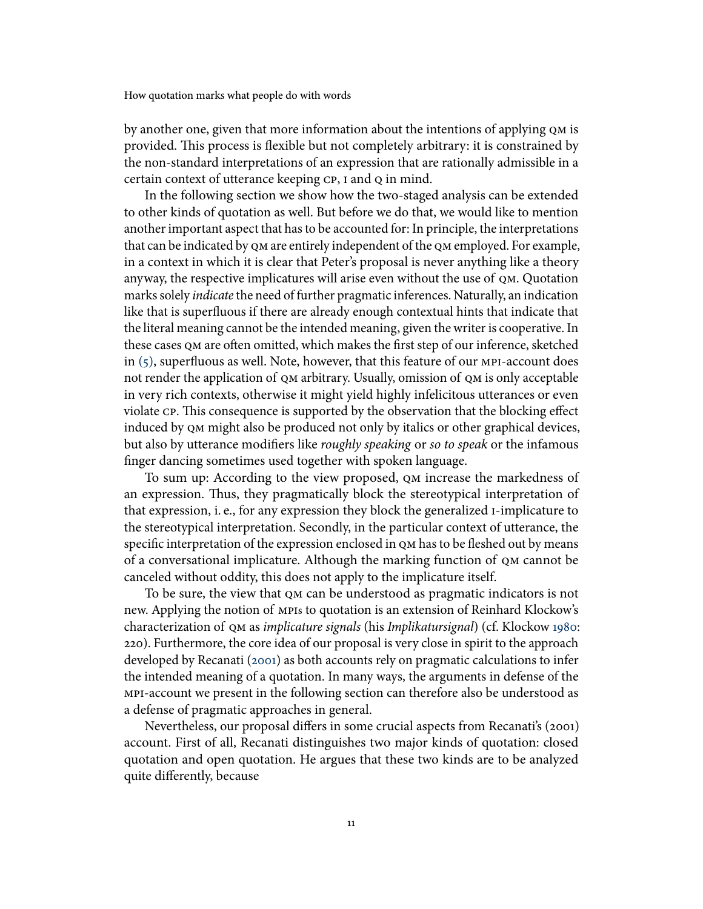by another one, given that more information about the intentions of applying  $QM$  is provided. This process is flexible but not completely arbitrary: it is constrained by the non-standard interpretations of an expression that are rationally admissible in a certain context of utterance keeping CP, I and Q in mind.

In the following section we show how the two-staged analysis can be extended to other kinds of quotation as well. But before we do that, we would like to mention another important aspect that has to be accounted for: In principle, the interpretations that can be indicated by qm are entirely independent of the qm employed. For example, in a context in which it is clear that Peter's proposal is never anything like a theory anyway, the respective implicatures will arise even without the use of qm. Quotation marks solely indicate the need of further pragmatic inferences. Naturally, an indication like that is superfluous if there are already enough contextual hints that indicate that the literal meaning cannot be the intended meaning, given the writer is cooperative. In these cases QM are often omitted, which makes the first step of our inference, sketched in  $(5)$ , superfluous as well. Note, however, that this feature of our MPI-account does not render the application of qm arbitrary. Usually, omission of qm is only acceptable in very rich contexts, otherwise it might yield highly infelicitous utterances or even violate cp. This consequence is supported by the observation that the blocking effect induced by qm might also be produced not only by italics or other graphical devices, but also by utterance modifiers like roughly speaking or so to speak or the infamous finger dancing sometimes used together with spoken language.

To sum up: According to the view proposed, qm increase the markedness of an expression. Thus, they pragmatically block the stereotypical interpretation of that expression, i. e., for any expression they block the generalized i-implicature to the stereotypical interpretation. Secondly, in the particular context of utterance, the specific interpretation of the expression enclosed in QM has to be fleshed out by means of a conversational implicature. Although the marking function of qm cannot be canceled without oddity, this does not apply to the implicature itself.

To be sure, the view that qm can be understood as pragmatic indicators is not new. Applying the notion of mpis to quotation is an extension of Reinhard Klockow's characterization of qm as implicature signals (his Implikatursignal) (cf. Klockow [1980:](#page-23-4) 220). Furthermore, the core idea of our proposal is very close in spirit to the approach developed by Recanati [\(2001\)](#page-24-3) as both accounts rely on pragmatic calculations to infer the intended meaning of a quotation. In many ways, the arguments in defense of the mpi-account we present in the following section can therefore also be understood as a defense of pragmatic approaches in general.

Nevertheless, our proposal differs in some crucial aspects from Recanati's (2001) account. First of all, Recanati distinguishes two major kinds of quotation: closed quotation and open quotation. He argues that these two kinds are to be analyzed quite differently, because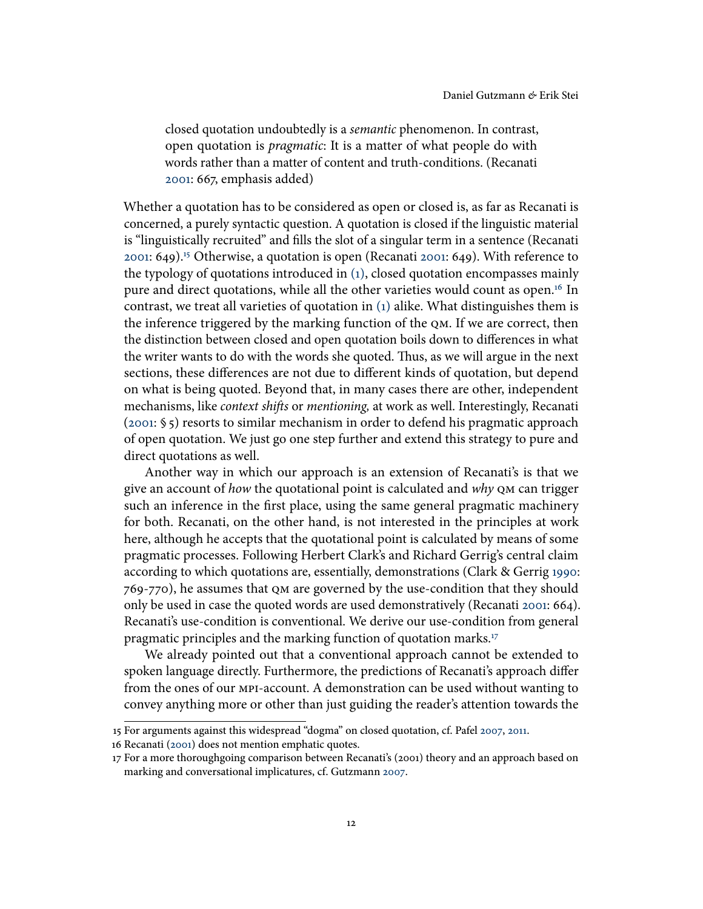closed quotation undoubtedly is a semantic phenomenon. In contrast, open quotation is pragmatic: It is a matter of what people do with words rather than a matter of content and truth-conditions. (Recanati [2001:](#page-24-3) 667, emphasis added)

Whether a quotation has to be considered as open or closed is, as far as Recanati is concerned, a purely syntactic question. A quotation is closed if the linguistic material is "linguistically recruited" and fills the slot of a singular term in a sentence (Recanati [2001:](#page-24-3) 649).[15](#page-11-0) Otherwise, a quotation is open (Recanati [2001:](#page-24-3) 649). With reference to the typology of quotations introduced in [\(1\),](#page-1-1) closed quotation encompasses mainly pure and direct quotations, while all the other varieties would count as open.<sup>[16](#page-11-1)</sup> In contrast, we treat all varieties of quotation in [\(1\)](#page-1-1) alike. What distinguishes them is the inference triggered by the marking function of the qm. If we are correct, then the distinction between closed and open quotation boils down to differences in what the writer wants to do with the words she quoted. Thus, as we will argue in the next sections, these differences are not due to different kinds of quotation, but depend on what is being quoted. Beyond that, in many cases there are other, independent mechanisms, like *context shifts* or *mentioning*, at work as well. Interestingly, Recanati [\(2001:](#page-24-3) § 5) resorts to similar mechanism in order to defend his pragmatic approach of open quotation. We just go one step further and extend this strategy to pure and direct quotations as well.

Another way in which our approach is an extension of Recanati's is that we give an account of how the quotational point is calculated and why QM can trigger such an inference in the first place, using the same general pragmatic machinery for both. Recanati, on the other hand, is not interested in the principles at work here, although he accepts that the quotational point is calculated by means of some pragmatic processes. Following Herbert Clark's and Richard Gerrig's central claim according to which quotations are, essentially, demonstrations (Clark & Gerrig [1990:](#page-22-4) 769-770), he assumes that qm are governed by the use-condition that they should only be used in case the quoted words are used demonstratively (Recanati [2001:](#page-24-3) 664). Recanati's use-condition is conventional. We derive our use-condition from general pragmatic principles and the marking function of quotation marks.[17](#page-11-2)

We already pointed out that a conventional approach cannot be extended to spoken language directly. Furthermore, the predictions of Recanati's approach differ from the ones of our mpi-account. A demonstration can be used without wanting to convey anything more or other than just guiding the reader's attention towards the

<span id="page-11-0"></span><sup>15</sup> For arguments against this widespread "dogma" on closed quotation, cf. Pafel [2007,](#page-24-7) [2011.](#page-24-8)

<span id="page-11-1"></span><sup>16</sup> Recanati [\(2001\)](#page-24-3) does not mention emphatic quotes.

<span id="page-11-2"></span><sup>17</sup> For a more thoroughgoing comparison between Recanati's (2001) theory and an approach based on marking and conversational implicatures, cf. Gutzmann [2007.](#page-23-13)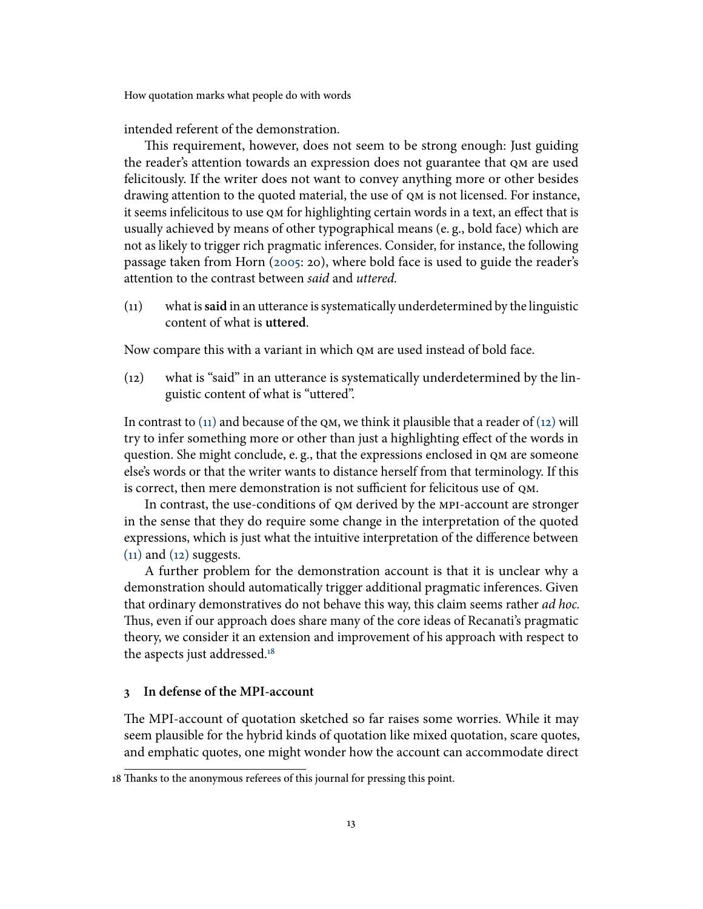intended referent of the demonstration.

This requirement, however, does not seem to be strong enough: Just guiding the reader's attention towards an expression does not guarantee that qm are used felicitously. If the writer does not want to convey anything more or other besides drawing attention to the quoted material, the use of qm is not licensed. For instance, it seems infelicitous to use QM for highlighting certain words in a text, an effect that is usually achieved by means of other typographical means (e. g., bold face) which are not as likely to trigger rich pragmatic inferences. Consider, for instance, the following passage taken from Horn [\(2005:](#page-23-6) 20), where bold face is used to guide the reader's attention to the contrast between said and uttered.

<span id="page-12-0"></span>(11) what is**said** in an utterance is systematically underdetermined by the linguistic content of what is **uttered**.

<span id="page-12-1"></span>Now compare this with a variant in which qm are used instead of bold face.

(12) what is "said" in an utterance is systematically underdetermined by the linguistic content of what is "uttered".

In contrast to  $(11)$  and because of the QM, we think it plausible that a reader of  $(12)$  will try to infer something more or other than just a highlighting effect of the words in question. She might conclude, e. g., that the expressions enclosed in qm are someone else's words or that the writer wants to distance herself from that terminology. If this is correct, then mere demonstration is not sufficient for felicitous use of OM.

In contrast, the use-conditions of qm derived by the mpi-account are stronger in the sense that they do require some change in the interpretation of the quoted expressions, which is just what the intuitive interpretation of the difference between  $(11)$  and  $(12)$  suggests.

A further problem for the demonstration account is that it is unclear why a demonstration should automatically trigger additional pragmatic inferences. Given that ordinary demonstratives do not behave this way, this claim seems rather *ad hoc*. Thus, even if our approach does share many of the core ideas of Recanati's pragmatic theory, we consider it an extension and improvement of his approach with respect to the aspects just addressed.[18](#page-12-2)

### **3 In defense of the MPI-account**

The MPI-account of quotation sketched so far raises some worries. While it may seem plausible for the hybrid kinds of quotation like mixed quotation, scare quotes, and emphatic quotes, one might wonder how the account can accommodate direct

<span id="page-12-2"></span><sup>18</sup> Thanks to the anonymous referees of this journal for pressing this point.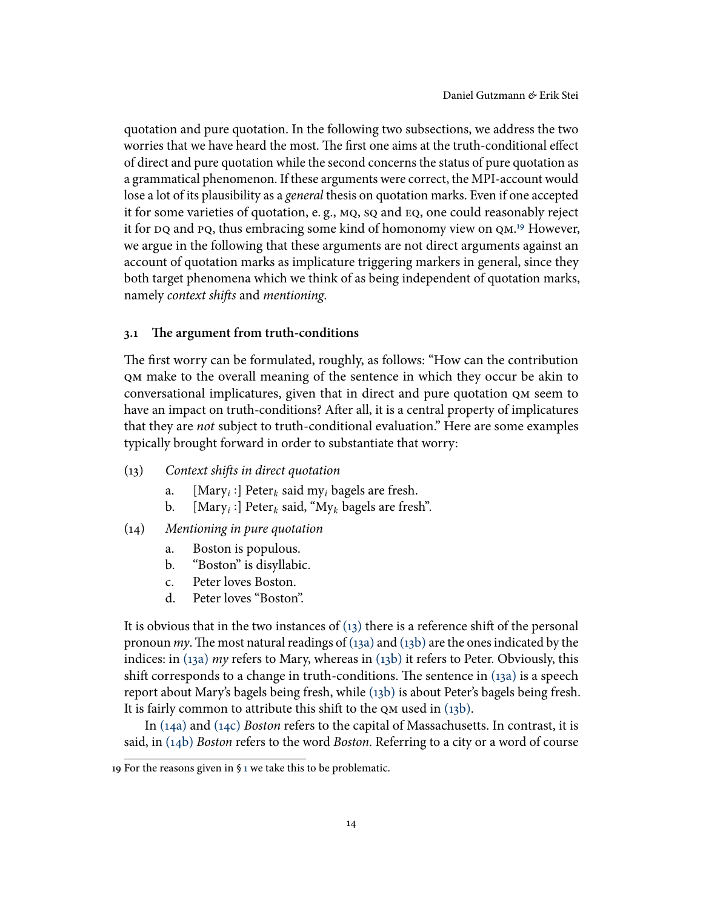quotation and pure quotation. In the following two subsections, we address the two worries that we have heard the most. The first one aims at the truth-conditional effect of direct and pure quotation while the second concerns the status of pure quotation as a grammatical phenomenon. If these arguments were correct, the MPI-account would lose a lot of its plausibility as a *general* thesis on quotation marks. Even if one accepted it for some varieties of quotation, e. g., mq, sq and eq, one could reasonably reject it for  $p_0$  and  $p_0$ , thus embracing some kind of homonomy view on  $q_0$ ,  $q_1$ ,  $q_2$  However, we argue in the following that these arguments are not direct arguments against an account of quotation marks as implicature triggering markers in general, since they both target phenomena which we think of as being independent of quotation marks, namely context shifts and mentioning.

### **3.1 e argument from truth-conditions**

The first worry can be formulated, roughly, as follows: "How can the contribution qm make to the overall meaning of the sentence in which they occur be akin to conversational implicatures, given that in direct and pure quotation qm seem to have an impact on truth-conditions? After all, it is a central property of implicatures that they are *not* subject to truth-conditional evaluation." Here are some examples typically brought forward in order to substantiate that worry:

- <span id="page-13-2"></span><span id="page-13-1"></span> $(13)$  Context shifts in direct quotation
	- a. [Mary<sub>i</sub>:] Peter<sub>k</sub> said my<sub>i</sub> bagels are fresh.
	- b. [Mary<sub>i</sub>:] Peter<sub>k</sub> said, "My<sub>k</sub> bagels are fresh".
- <span id="page-13-8"></span><span id="page-13-6"></span><span id="page-13-4"></span><span id="page-13-3"></span>(14) Mentioning in pure quotation
	- a. Boston is populous.
	- b. "Boston" is disyllabic.
	- c. Peter loves Boston.
	- d. Peter loves "Boston".

<span id="page-13-7"></span><span id="page-13-5"></span>It is obvious that in the two instances of  $(13)$  there is a reference shift of the personal pronoun *my*. The most natural readings of  $(13a)$  and  $(13b)$  are the ones indicated by the indices: in  $(13a)$  *my* refers to Mary, whereas in  $(13b)$  it refers to Peter. Obviously, this shift corresponds to a change in truth-conditions. The sentence in  $(13a)$  is a speech report about Mary's bagels being fresh, while [\(13b\)](#page-13-3) is about Peter's bagels being fresh. It is fairly common to attribute this shift to the  $QM$  used in  $(13b)$ .

In [\(14a\)](#page-13-4) and [\(14c\)](#page-13-5) Boston refers to the capital of Massachusetts. In contrast, it is said, in  $(14b)$  Boston refers to the word Boston. Referring to a city or a word of course

<span id="page-13-0"></span><sup>19</sup> For the reasons given in § [1](#page-0-0) we take this to be problematic.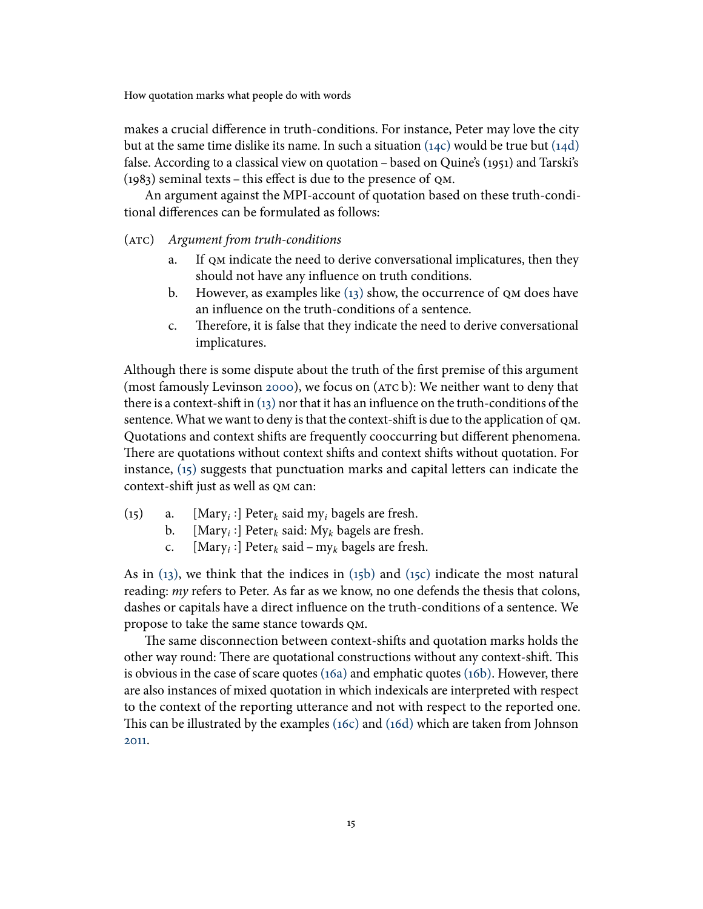makes a crucial difference in truth-conditions. For instance, Peter may love the city but at the same time dislike its name. In such a situation  $(14c)$  would be true but  $(14d)$ false. According to a classical view on quotation – based on Quine's (1951) and Tarski's  $(1983)$  seminal texts – this effect is due to the presence of  $QM$ .

An argument against the MPI-account of quotation based on these truth-conditional differences can be formulated as follows:

## (atc) Argument from truth-conditions

- a. If qm indicate the need to derive conversational implicatures, then they should not have any influence on truth conditions.
- b. However, as examples like  $(13)$  show, the occurrence of  $\alpha$  does have an influence on the truth-conditions of a sentence.
- c. Therefore, it is false that they indicate the need to derive conversational implicatures.

Although there is some dispute about the truth of the first premise of this argument (most famously Levinson [2000\)](#page-24-9), we focus on (ATC b): We neither want to deny that there is a context-shift in  $(13)$  nor that it has an influence on the truth-conditions of the sentence. What we want to deny is that the context-shift is due to the application of QM. Quotations and context shifts are frequently cooccurring but different phenomena. There are quotations without context shifts and context shifts without quotation. For instance, [\(15\)](#page-14-0) suggests that punctuation marks and capital letters can indicate the context-shift just as well as QM can:

- <span id="page-14-1"></span><span id="page-14-0"></span>(15) a. [Mary<sub>i</sub>:] Peter<sub>k</sub> said my<sub>i</sub> bagels are fresh.
	- b. [Mary<sub>i</sub>:] Peter<sub>k</sub> said: My<sub>k</sub> bagels are fresh.
	- c. [Mary<sub>i</sub>:] Peter<sub>k</sub> said my<sub>k</sub> bagels are fresh.

<span id="page-14-2"></span>As in [\(13\),](#page-13-1) we think that the indices in [\(15b\)](#page-14-1) and [\(15c\)](#page-14-2) indicate the most natural reading: my refers to Peter. As far as we know, no one defends the thesis that colons, dashes or capitals have a direct influence on the truth-conditions of a sentence. We propose to take the same stance towards qm.

<span id="page-14-3"></span>The same disconnection between context-shifts and quotation marks holds the other way round: There are quotational constructions without any context-shift. This is obvious in the case of scare quotes [\(16a\)](#page-14-3) and emphatic quotes [\(16b\).](#page-15-0) However, there are also instances of mixed quotation in which indexicals are interpreted with respect to the context of the reporting utterance and not with respect to the reported one. This can be illustrated by the examples  $(16c)$  and  $(16d)$  which are taken from Johnson [2011.](#page-23-14)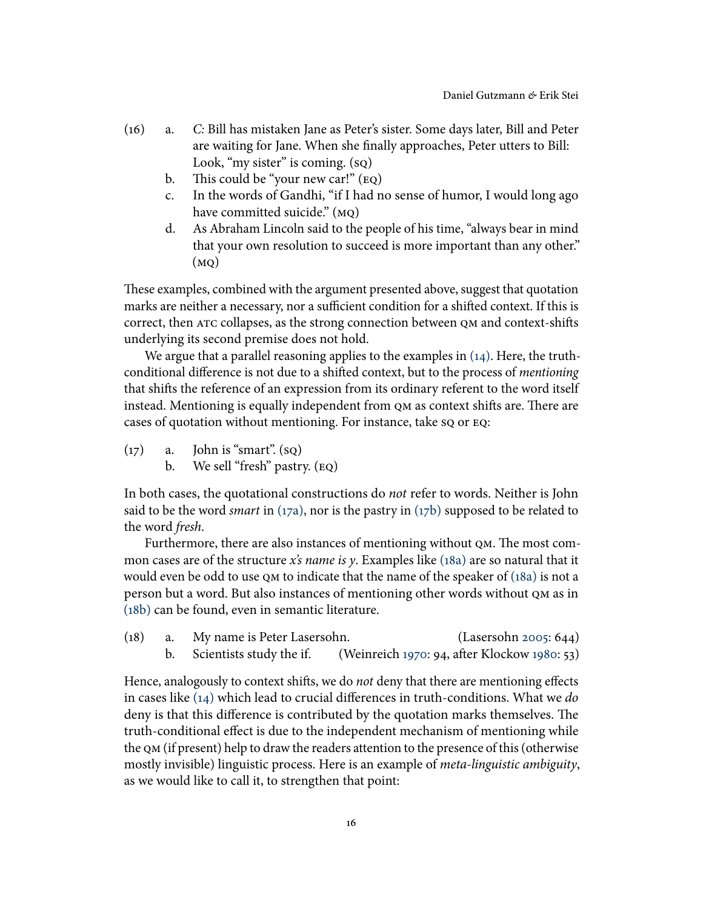- <span id="page-15-1"></span><span id="page-15-0"></span>(16) a. C: Bill has mistaken Jane as Peter's sister. Some days later, Bill and Peter are waiting for Jane. When she finally approaches, Peter utters to Bill: Look, "my sister" is coming. (sq)
	- b. This could be "your new car!"  $(EQ)$
	- c. In the words of Gandhi, "if I had no sense of humor, I would long ago have committed suicide." (MQ)
	- d. As Abraham Lincoln said to the people of his time, "always bear in mind that your own resolution to succeed is more important than any other."  $(MQ)$

<span id="page-15-2"></span>These examples, combined with the argument presented above, suggest that quotation marks are neither a necessary, nor a sufficient condition for a shifted context. If this is correct, then ATC collapses, as the strong connection between QM and context-shifts underlying its second premise does not hold.

We argue that a parallel reasoning applies to the examples in  $(14)$ . Here, the truthconditional difference is not due to a shifted context, but to the process of mentioning that shifts the reference of an expression from its ordinary referent to the word itself instead. Mentioning is equally independent from  $\alpha$  as context shifts are. There are cases of quotation without mentioning. For instance, take sq or Eq:

- <span id="page-15-4"></span><span id="page-15-3"></span> $(17)$  a. John is "smart".  $(so)$ 
	- b. We sell "fresh" pastry. (eq)

In both cases, the quotational constructions do *not* refer to words. Neither is John said to be the word smart in  $(17a)$ , nor is the pastry in  $(17b)$  supposed to be related to the word fresh.

Furthermore, there are also instances of mentioning without QM. The most common cases are of the structure x's name is y. Examples like  $(18a)$  are so natural that it would even be odd to use  $QM$  to indicate that the name of the speaker of  $(18a)$  is not a person but a word. But also instances of mentioning other words without qm as in [\(18b\)](#page-15-6) can be found, even in semantic literature.

<span id="page-15-6"></span><span id="page-15-5"></span>

| (18) | a. My name is Peter Lasersohn. | (Lasersohn 2005: 644)                        |
|------|--------------------------------|----------------------------------------------|
|      | b. Scientists study the if.    | (Weinreich 1970: 94, after Klockow 1980: 53) |

Hence, analogously to context shifts, we do *not* deny that there are mentioning effects in cases like  $(14)$  which lead to crucial differences in truth-conditions. What we do deny is that this difference is contributed by the quotation marks themselves. The truth-conditional effect is due to the independent mechanism of mentioning while the qm (if present) help to draw the readers attention to the presence of this (otherwise mostly invisible) linguistic process. Here is an example of *meta-linguistic ambiguity*, as we would like to call it, to strengthen that point: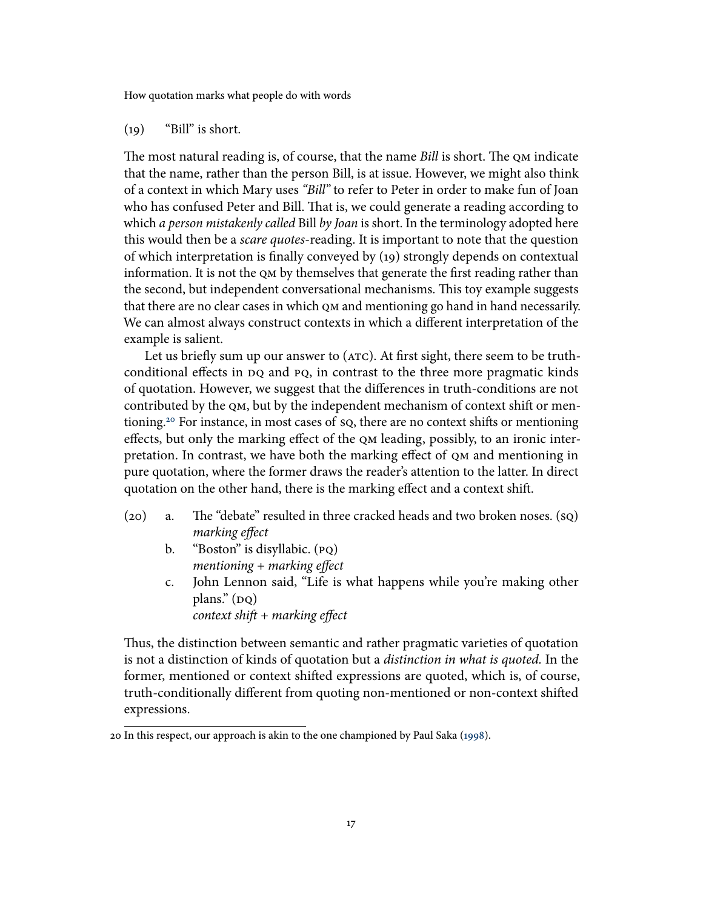### (19) "Bill" is short.

The most natural reading is, of course, that the name Bill is short. The QM indicate that the name, rather than the person Bill, is at issue. However, we might also think of a context in which Mary uses "Bill" to refer to Peter in order to make fun of Joan who has confused Peter and Bill. That is, we could generate a reading according to which a person mistakenly called Bill by Joan is short. In the terminology adopted here this would then be a *scare quotes*-reading. It is important to note that the question of which interpretation is finally conveyed by (19) strongly depends on contextual information. It is not the QM by themselves that generate the first reading rather than the second, but independent conversational mechanisms. This toy example suggests that there are no clear cases in which qm and mentioning go hand in hand necessarily. We can almost always construct contexts in which a different interpretation of the example is salient.

Let us briefly sum up our answer to  $(ATC)$ . At first sight, there seem to be truthconditional effects in DQ and PQ, in contrast to the three more pragmatic kinds of quotation. However, we suggest that the differences in truth-conditions are not contributed by the QM, but by the independent mechanism of context shift or men-tioning.<sup>[20](#page-16-0)</sup> For instance, in most cases of sq, there are no context shifts or mentioning effects, but only the marking effect of the QM leading, possibly, to an ironic interpretation. In contrast, we have both the marking effect of QM and mentioning in pure quotation, where the former draws the reader's attention to the latter. In direct quotation on the other hand, there is the marking effect and a context shift.

- $(20)$  a. The "debate" resulted in three cracked heads and two broken noses.  $(sq)$ marking effect
	- b. "Boston" is disyllabic. (pq)  $m$ entioning + marking effect
	- c. John Lennon said, "Life is what happens while you're making other plans."  $(pq)$

context shift  $+$  marking effect

Thus, the distinction between semantic and rather pragmatic varieties of quotation is not a distinction of kinds of quotation but a distinction in what is quoted. In the former, mentioned or context shifted expressions are quoted, which is, of course, truth-conditionally different from quoting non-mentioned or non-context shifted expressions.

<span id="page-16-0"></span><sup>20</sup> In this respect, our approach is akin to the one championed by Paul Saka [\(1998\)](#page-24-1).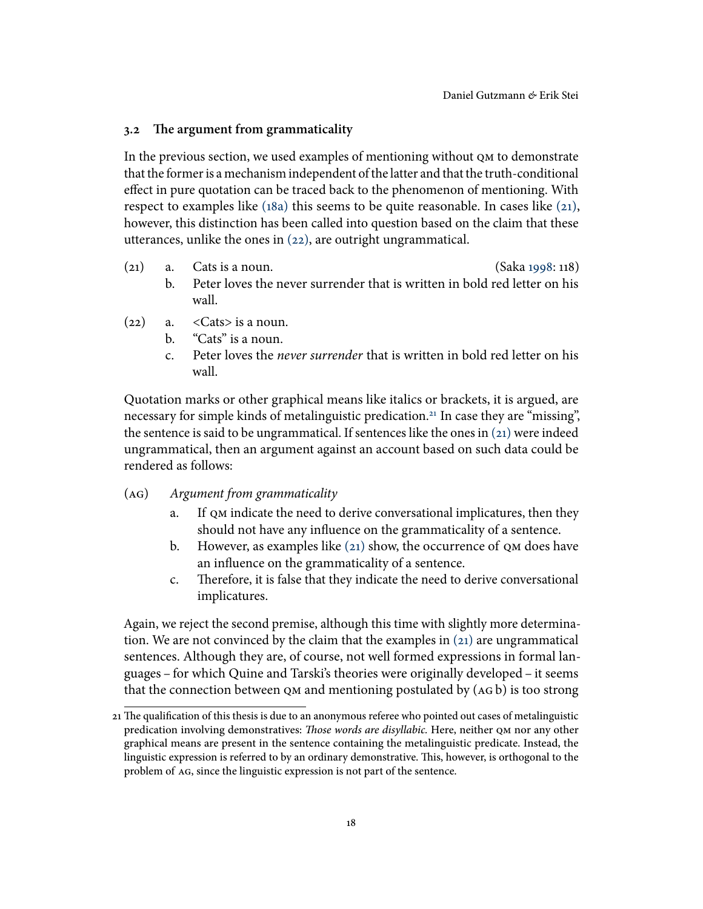### **3.2** The argument from grammaticality

In the previous section, we used examples of mentioning without qm to demonstrate that the former is a mechanism independent of the latter and that the truth-conditional effect in pure quotation can be traced back to the phenomenon of mentioning. With respect to examples like  $(18a)$  this seems to be quite reasonable. In cases like  $(21)$ , however, this distinction has been called into question based on the claim that these utterances, unlike the ones in [\(22\),](#page-17-1) are outright ungrammatical.

- <span id="page-17-0"></span>(21) a. Cats is a noun. (Saka [1998:](#page-24-1) 118) b. Peter loves the never surrender that is written in bold red letter on his
- <span id="page-17-1"></span> $(22)$  a.  $\leq$  Cats> is a noun.

wall.

- b. "Cats" is a noun.
- c. Peter loves the never surrender that is written in bold red letter on his wall.

Quotation marks or other graphical means like italics or brackets, it is argued, are necessary for simple kinds of metalinguistic predication.<sup>[21](#page-17-2)</sup> In case they are "missing", the sentence is said to be ungrammatical. If sentences like the ones in  $(21)$  were indeed ungrammatical, then an argument against an account based on such data could be rendered as follows:

- (ag) Argument from grammaticality
	- a. If  $QM$  indicate the need to derive conversational implicatures, then they should not have any influence on the grammaticality of a sentence.
	- b. However, as examples like  $(21)$  show, the occurrence of  $\alpha$  does have an influence on the grammaticality of a sentence.
	- c. Therefore, it is false that they indicate the need to derive conversational implicatures.

Again, we reject the second premise, although this time with slightly more determination. We are not convinced by the claim that the examples in  $(21)$  are ungrammatical sentences. Although they are, of course, not well formed expressions in formal languages – for which Quine and Tarski's theories were originally developed – it seems that the connection between qm and mentioning postulated by (ag b) is too strong

<span id="page-17-2"></span><sup>21</sup> The qualification of this thesis is due to an anonymous referee who pointed out cases of metalinguistic predication involving demonstratives: Those words are disyllabic. Here, neither QM nor any other graphical means are present in the sentence containing the metalinguistic predicate. Instead, the linguistic expression is referred to by an ordinary demonstrative. This, however, is orthogonal to the problem of ag, since the linguistic expression is not part of the sentence.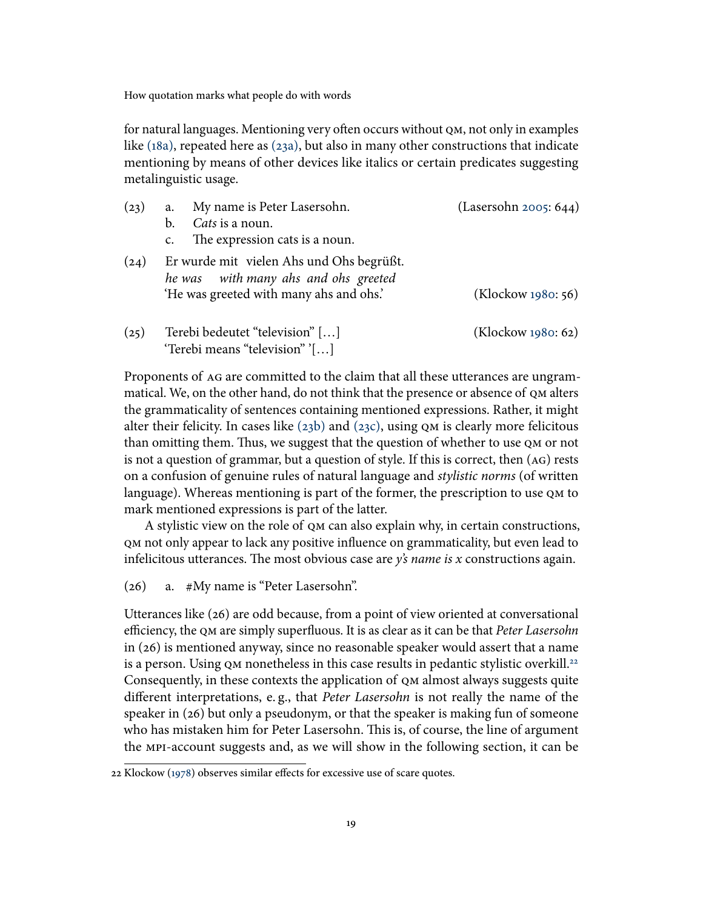for natural languages. Mentioning very often occurs without  $QM$ , not only in examples like [\(18a\),](#page-15-5) repeated here as [\(23a\),](#page-18-0) but also in many other constructions that indicate mentioning by means of other devices like italics or certain predicates suggesting metalinguistic usage.

<span id="page-18-2"></span><span id="page-18-1"></span><span id="page-18-0"></span>

| (23) | My name is Peter Lasersohn.<br>a.                                                                                           | (Lasersohn 2005: 644) |
|------|-----------------------------------------------------------------------------------------------------------------------------|-----------------------|
|      | Cats is a noun.<br>b.                                                                                                       |                       |
|      | The expression cats is a noun.<br>$\mathsf{C}$ .                                                                            |                       |
| (24) | Er wurde mit vielen Ahs und Ohs begrüßt.<br>he was with many ahs and ohs greeted<br>'He was greeted with many ahs and ohs.' | (Klockow 1980: 56)    |
| (25) | Terebi bedeutet "television" []<br>'Terebi means "television" '[]                                                           | $(Klockow_1980:62)$   |

Proponents of AG are committed to the claim that all these utterances are ungrammatical. We, on the other hand, do not think that the presence or absence of qm alters the grammaticality of sentences containing mentioned expressions. Rather, it might alter their felicity. In cases like  $(23b)$  and  $(23c)$ , using  $QM$  is clearly more felicitous than omitting them. Thus, we suggest that the question of whether to use QM or not is not a question of grammar, but a question of style. If this is correct, then (ag) rests on a confusion of genuine rules of natural language and stylistic norms (of written language). Whereas mentioning is part of the former, the prescription to use qm to mark mentioned expressions is part of the latter.

A stylistic view on the role of qm can also explain why, in certain constructions, QM not only appear to lack any positive influence on grammaticality, but even lead to infelicitous utterances. The most obvious case are  $y\ddot{s}$  name is x constructions again.

(26) a. #My name is "Peter Lasersohn".

Utterances like (26) are odd because, from a point of view oriented at conversational efficiency, the QM are simply superfluous. It is as clear as it can be that Peter Lasersohn in (26) is mentioned anyway, since no reasonable speaker would assert that a name is a person. Using  $QM$  nonetheless in this case results in pedantic stylistic overkill.<sup>[22](#page-18-3)</sup> Consequently, in these contexts the application of qm almost always suggests quite different interpretations, e.g., that Peter Lasersohn is not really the name of the speaker in (26) but only a pseudonym, or that the speaker is making fun of someone who has mistaken him for Peter Lasersohn. This is, of course, the line of argument the mpi-account suggests and, as we will show in the following section, it can be

<span id="page-18-3"></span> $22$  Klockow [\(1978\)](#page-23-16) observes similar effects for excessive use of scare quotes.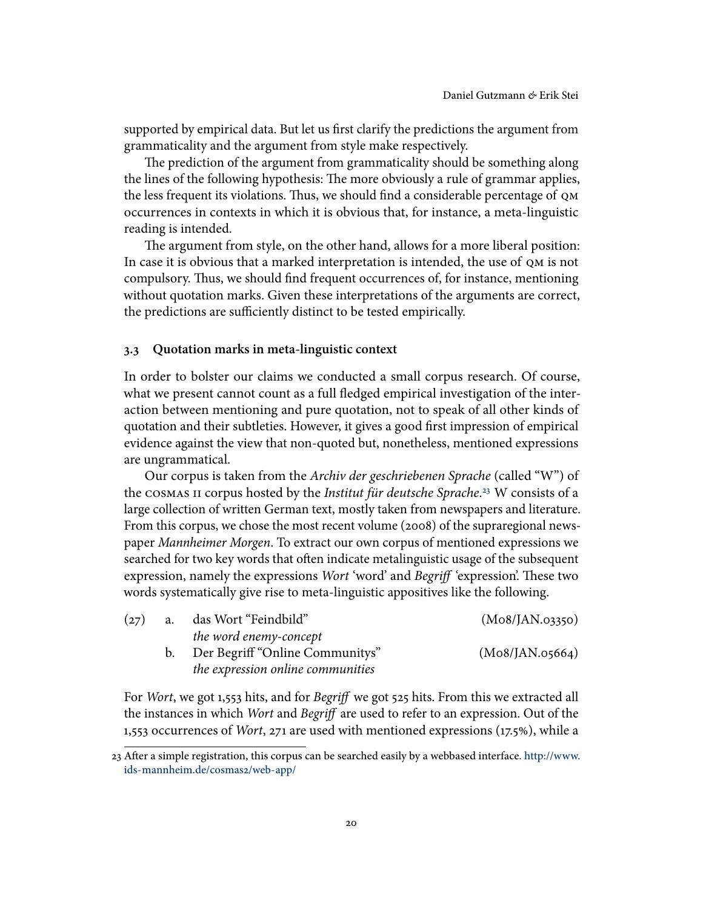supported by empirical data. But let us first clarify the predictions the argument from grammaticality and the argument from style make respectively.

The prediction of the argument from grammaticality should be something along the lines of the following hypothesis: The more obviously a rule of grammar applies, the less frequent its violations. Thus, we should find a considerable percentage of QM occurrences in contexts in which it is obvious that, for instance, a meta-linguistic reading is intended.

The argument from style, on the other hand, allows for a more liberal position: In case it is obvious that a marked interpretation is intended, the use of qm is not compulsory. Thus, we should find frequent occurrences of, for instance, mentioning without quotation marks. Given these interpretations of the arguments are correct, the predictions are sufficiently distinct to be tested empirically.

### <span id="page-19-1"></span>**3.3 Quotation marks in meta-linguistic context**

In order to bolster our claims we conducted a small corpus research. Of course, what we present cannot count as a full fledged empirical investigation of the interaction between mentioning and pure quotation, not to speak of all other kinds of quotation and their subtleties. However, it gives a good first impression of empirical evidence against the view that non-quoted but, nonetheless, mentioned expressions are ungrammatical.

Our corpus is taken from the Archiv der geschriebenen Sprache (called "W") of the  $cosmas$  II corpus hosted by the *Institut für deutsche Sprache*.<sup>[23](#page-19-0)</sup> W consists of a large collection of written German text, mostly taken from newspapers and literature. From this corpus, we chose the most recent volume (2008) of the supraregional newspaper Mannheimer Morgen. To extract our own corpus of mentioned expressions we searched for two key words that often indicate metalinguistic usage of the subsequent expression, namely the expressions *Wort* 'word' and *Begriff* 'expression'. These two words systematically give rise to meta-linguistic appositives like the following.

| (27) | а. | das Wort "Feindbild"              | (Mo8/JAN.03350) |
|------|----|-----------------------------------|-----------------|
|      |    | the word enemy-concept            |                 |
|      |    | Der Begriff "Online Communitys"   | (Mo8/JAN.o5664) |
|      |    | the expression online communities |                 |

For Wort, we got 1,553 hits, and for Begriff we got 525 hits. From this we extracted all the instances in which Wort and Begriff are used to refer to an expression. Out of the 1,553 occurrences of Wort, 271 are used with mentioned expressions (17.5%), while a

<span id="page-19-0"></span><sup>23</sup> After a simple registration, this corpus can be searched easily by a webbased interface. [http://www.](http://www.ids-mannheim.de/cosmas2/web-app/) [ids-mannheim.de/cosmas2/web-app/](http://www.ids-mannheim.de/cosmas2/web-app/)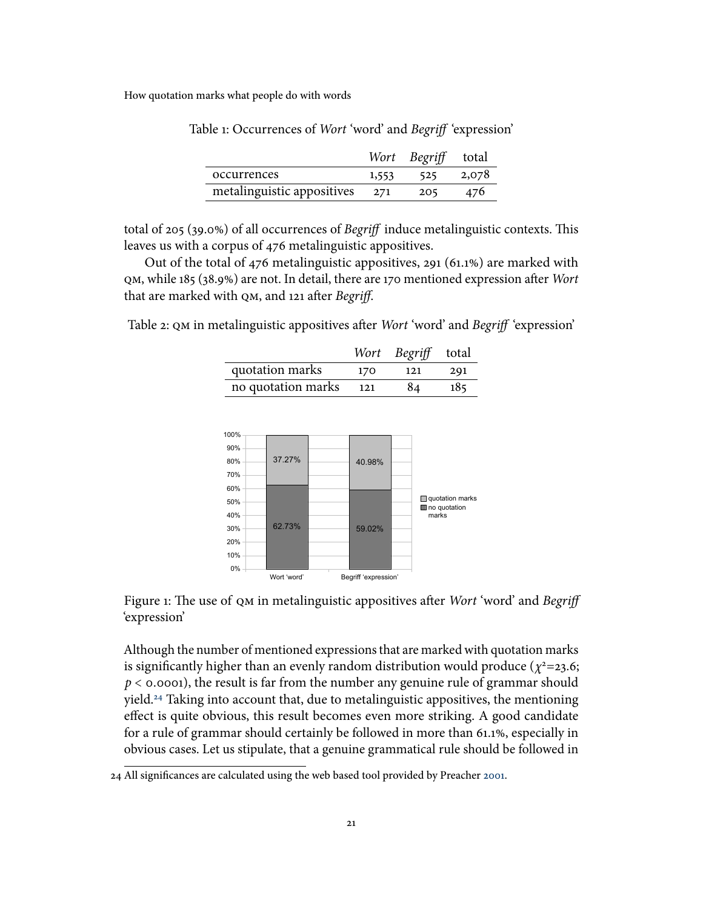|                            |       | Wort Begriff total |       |
|----------------------------|-------|--------------------|-------|
| occurrences                | 1,553 | -525               | 2,078 |
| metalinguistic appositives | 271   | 205                | 476   |

Table 1: Occurrences of Wort 'word' and Begriff 'expression'

total of 205 (39.0%) of all occurrences of *Begriff* induce metalinguistic contexts. This leaves us with a corpus of 476 metalinguistic appositives.

Out of the total of 476 metalinguistic appositives, 291 (61.1%) are marked with  $QM$ , while 185 (38.9%) are not. In detail, there are 170 mentioned expression after Wort that are marked with QM, and 121 after Begriff.

Table 2: QM in metalinguistic appositives after Wort 'word' and Begriff 'expression'

|                    |      | Wort Begriff total |     |
|--------------------|------|--------------------|-----|
| quotation marks    | 170  | 121                | 291 |
| no quotation marks | -121 | 84                 | 185 |



Figure 1: The use of QM in metalinguistic appositives after Wort 'word' and Begriff 'expression'

Although the number of mentioned expressions that are marked with quotation marks is significantly higher than an evenly random distribution would produce ( $\gamma^2$ =23.6;  $p <$  0.0001), the result is far from the number any genuine rule of grammar should yield.[24](#page-20-0) Taking into account that, due to metalinguistic appositives, the mentioning effect is quite obvious, this result becomes even more striking. A good candidate for a rule of grammar should certainly be followed in more than 61.1%, especially in obvious cases. Let us stipulate, that a genuine grammatical rule should be followed in

<span id="page-20-0"></span><sup>24</sup> All significances are calculated using the web based tool provided by Preacher [2001.](#page-24-11)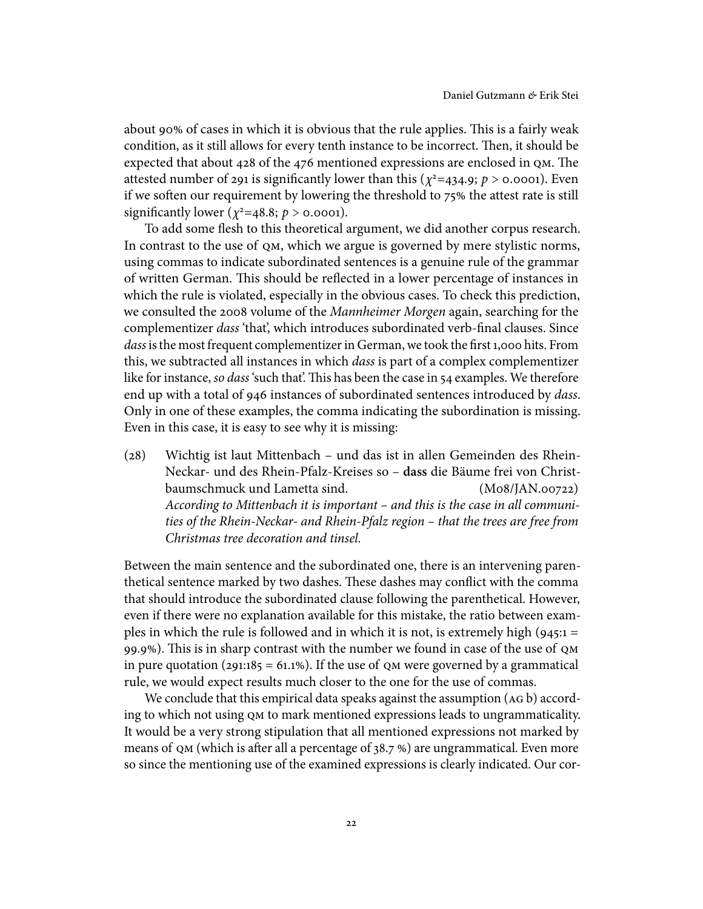about 90% of cases in which it is obvious that the rule applies. This is a fairly weak condition, as it still allows for every tenth instance to be incorrect. Then, it should be expected that about 428 of the 476 mentioned expressions are enclosed in  $QM$ . The attested number of 291 is significantly lower than this ( $\chi^2$ =434.9;  $p > 0.0001$ ). Even if we soften our requirement by lowering the threshold to  $75\%$  the attest rate is still significantly lower  $(\chi^2=48.8; p > 0.0001)$ .

To add some flesh to this theoretical argument, we did another corpus research. In contrast to the use of qm, which we argue is governed by mere stylistic norms, using commas to indicate subordinated sentences is a genuine rule of the grammar of written German. This should be reflected in a lower percentage of instances in which the rule is violated, especially in the obvious cases. To check this prediction, we consulted the 2008 volume of the Mannheimer Morgen again, searching for the complementizer dass 'that', which introduces subordinated verb-final clauses. Since dass is the most frequent complementizer in German, we took the first 1,000 hits. From this, we subtracted all instances in which *dass* is part of a complex complementizer like for instance, so dass 'such that'. This has been the case in 54 examples. We therefore end up with a total of 946 instances of subordinated sentences introduced by *dass*. Only in one of these examples, the comma indicating the subordination is missing. Even in this case, it is easy to see why it is missing:

(28) Wichtig ist laut Mittenbach – und das ist in allen Gemeinden des Rhein-Neckar- und des Rhein-Pfalz-Kreises so – **dass** die Bäume frei von Christbaumschmuck und Lametta sind. (M08/JAN.00722) According to Mittenbach it is important – and this is the case in all communities of the Rhein-Neckar- and Rhein-Pfalz region – that the trees are free from Christmas tree decoration and tinsel.

Between the main sentence and the subordinated one, there is an intervening parenthetical sentence marked by two dashes. These dashes may conflict with the comma that should introduce the subordinated clause following the parenthetical. However, even if there were no explanation available for this mistake, the ratio between examples in which the rule is followed and in which it is not, is extremely high  $(945:1 =$ 99.9%). This is in sharp contrast with the number we found in case of the use of  $QM$ in pure quotation (291:185 = 61.1%). If the use of  $\alpha$  were governed by a grammatical rule, we would expect results much closer to the one for the use of commas.

We conclude that this empirical data speaks against the assumption (AG b) according to which not using qm to mark mentioned expressions leads to ungrammaticality. It would be a very strong stipulation that all mentioned expressions not marked by means of  $\alpha$  (which is after all a percentage of 38.7 %) are ungrammatical. Even more so since the mentioning use of the examined expressions is clearly indicated. Our cor-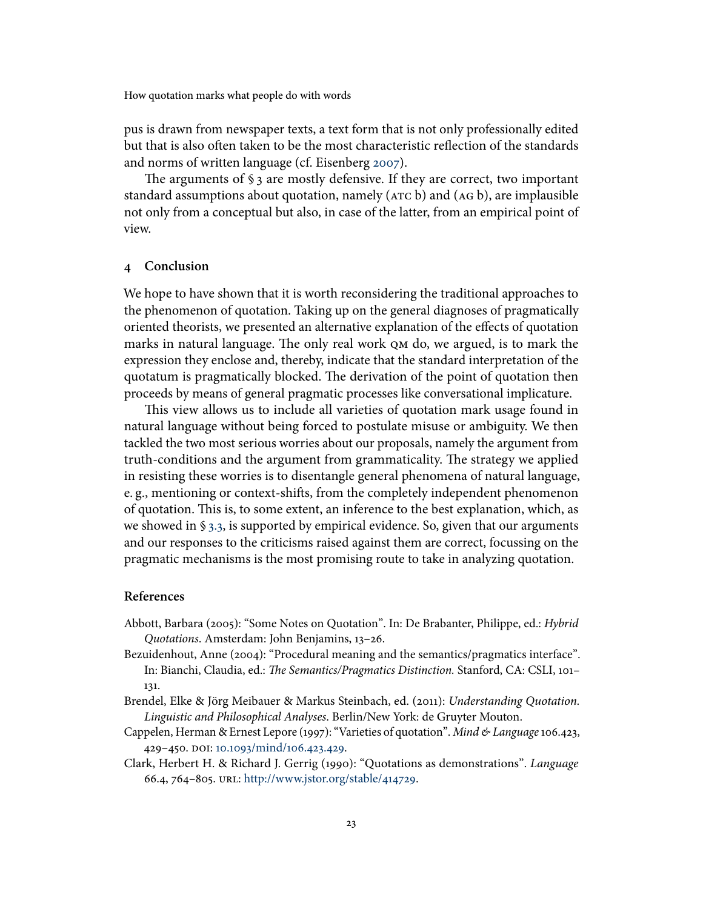pus is drawn from newspaper texts, a text form that is not only professionally edited but that is also often taken to be the most characteristic reflection of the standards and norms of written language (cf. Eisenberg [2007\)](#page-23-17).

The arguments of  $\S$  3 are mostly defensive. If they are correct, two important standard assumptions about quotation, namely (ATC b) and (AG b), are implausible not only from a conceptual but also, in case of the latter, from an empirical point of view.

### **4 Conclusion**

We hope to have shown that it is worth reconsidering the traditional approaches to the phenomenon of quotation. Taking up on the general diagnoses of pragmatically oriented theorists, we presented an alternative explanation of the effects of quotation marks in natural language. The only real work  $QM$  do, we argued, is to mark the expression they enclose and, thereby, indicate that the standard interpretation of the quotatum is pragmatically blocked. The derivation of the point of quotation then proceeds by means of general pragmatic processes like conversational implicature.

This view allows us to include all varieties of quotation mark usage found in natural language without being forced to postulate misuse or ambiguity. We then tackled the two most serious worries about our proposals, namely the argument from truth-conditions and the argument from grammaticality. The strategy we applied in resisting these worries is to disentangle general phenomena of natural language, e. g., mentioning or context-shifts, from the completely independent phenomenon of quotation. This is, to some extent, an inference to the best explanation, which, as we showed in § [3.3,](#page-19-1) is supported by empirical evidence. So, given that our arguments and our responses to the criticisms raised against them are correct, focussing on the pragmatic mechanisms is the most promising route to take in analyzing quotation.

#### **References**

- <span id="page-22-1"></span>Abbott, Barbara (2005): "Some Notes on Quotation". In: De Brabanter, Philippe, ed.: Hybrid Quotations. Amsterdam: John Benjamins, 13–26.
- <span id="page-22-2"></span>Bezuidenhout, Anne (2004): "Procedural meaning and the semantics/pragmatics interface". In: Bianchi, Claudia, ed.: The Semantics/Pragmatics Distinction. Stanford, CA: CSLI, 101-131.
- <span id="page-22-3"></span>Brendel, Elke & Jörg Meibauer & Markus Steinbach, ed. (2011): Understanding Quotation. Linguistic and Philosophical Analyses. Berlin/New York: de Gruyter Mouton.
- <span id="page-22-0"></span>Cappelen, Herman & Ernest Lepore (1997): "Varieties of quotation". Mind & Language 106.423, 429–450. DOI: [10.1093/mind/106.423.429.](http://dx.doi.org/10.1093/mind/106.423.429)
- <span id="page-22-4"></span>Clark, Herbert H. & Richard J. Gerrig (1990): "Quotations as demonstrations". Language 66.4, 764–805. url: [http://www.jstor.org/stable/414729.](http://www.jstor.org/stable/414729)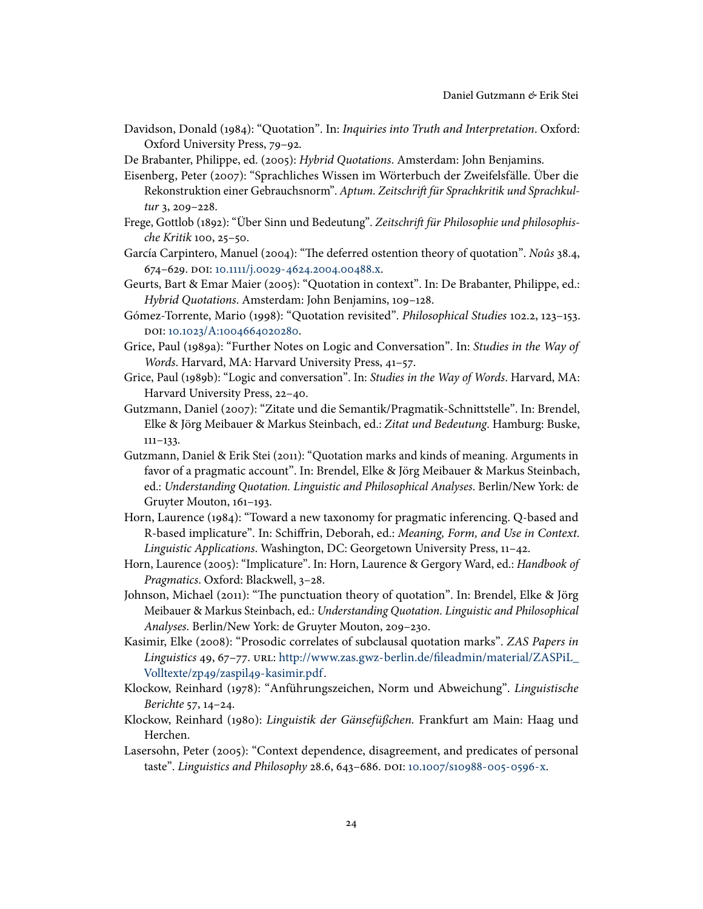- <span id="page-23-2"></span>Davidson, Donald (1984): "Quotation". In: Inquiries into Truth and Interpretation. Oxford: Oxford University Press, 79–92.
- <span id="page-23-8"></span>De Brabanter, Philippe, ed. (2005): Hybrid Quotations. Amsterdam: John Benjamins.
- <span id="page-23-17"></span>Eisenberg, Peter (2007): "Sprachliches Wissen im Wörterbuch der Zweifelsfälle. Über die Rekonstruktion einer Gebrauchsnorm". Aptum. Zeitschrift für Sprachkritik und Sprachkultur 3, 209–228.
- <span id="page-23-0"></span>Frege, Gottlob (1892): "Über Sinn und Bedeutung". Zeitschrift für Philosophie und philosophische Kritik 100, 25–50.
- <span id="page-23-3"></span>García Carpintero, Manuel (2004): "The deferred ostention theory of quotation". Noûs 38.4, 674–629. doi: [10.1111/j.0029-4624.2004.00488.x.](http://dx.doi.org/10.1111/j.0029-4624.2004.00488.x)
- <span id="page-23-12"></span>Geurts, Bart & Emar Maier (2005): "Quotation in context". In: De Brabanter, Philippe, ed.: Hybrid Quotations. Amsterdam: John Benjamins, 109–128.
- <span id="page-23-1"></span>Gómez-Torrente, Mario (1998): "Quotation revisited". Philosophical Studies 102.2, 123–153. DOI: [10.1023/A:1004664020280.](http://dx.doi.org/10.1023/A:1004664020280)
- <span id="page-23-5"></span>Grice, Paul (1989a): "Further Notes on Logic and Conversation". In: Studies in the Way of Words. Harvard, MA: Harvard University Press, 41–57.
- <span id="page-23-11"></span>Grice, Paul (1989b): "Logic and conversation". In: Studies in the Way of Words. Harvard, MA: Harvard University Press, 22–40.
- <span id="page-23-13"></span>Gutzmann, Daniel (2007): "Zitate und die Semantik/Pragmatik-Schnittstelle". In: Brendel, Elke & Jörg Meibauer & Markus Steinbach, ed.: Zitat und Bedeutung. Hamburg: Buske, 111–133.
- <span id="page-23-9"></span>Gutzmann, Daniel & Erik Stei (2011): "Quotation marks and kinds of meaning. Arguments in favor of a pragmatic account". In: Brendel, Elke & Jörg Meibauer & Markus Steinbach, ed.: Understanding Quotation. Linguistic and Philosophical Analyses. Berlin/New York: de Gruyter Mouton, 161–193.
- <span id="page-23-10"></span>Horn, Laurence (1984): "Toward a new taxonomy for pragmatic inferencing. Q-based and R-based implicature". In: Schiffrin, Deborah, ed.: Meaning, Form, and Use in Context. Linguistic Applications. Washington, DC: Georgetown University Press, 11–42.
- <span id="page-23-6"></span>Horn, Laurence (2005): "Implicature". In: Horn, Laurence & Gergory Ward, ed.: Handbook of Pragmatics. Oxford: Blackwell, 3–28.
- <span id="page-23-14"></span>Johnson, Michael (2011): "The punctuation theory of quotation". In: Brendel, Elke & Jörg Meibauer & Markus Steinbach, ed.: Understanding Quotation. Linguistic and Philosophical Analyses. Berlin/New York: de Gruyter Mouton, 209–230.
- <span id="page-23-7"></span>Kasimir, Elke (2008): "Prosodic correlates of subclausal quotation marks". ZAS Papers in Linguistics 49, 67-77. URL: http://www.zas.gwz-berlin.de/fileadmin/material/ZASPiL\_ [Volltexte/zp49/zaspil49-kasimir.pdf.](http://www.zas.gwz-berlin.de/fileadmin/material/ZASPiL_Volltexte/zp49/zaspil49-kasimir.pdf)
- <span id="page-23-16"></span>Klockow, Reinhard (1978): "Anführungszeichen, Norm und Abweichung". Linguistische Berichte 57, 14–24.
- <span id="page-23-4"></span>Klockow, Reinhard (1980): Linguistik der Gänsefüßchen. Frankfurt am Main: Haag und Herchen.
- <span id="page-23-15"></span>Lasersohn, Peter (2005): "Context dependence, disagreement, and predicates of personal taste". Linguistics and Philosophy 28.6, 643-686. DOI: [10.1007/s10988-005-0596-x.](http://dx.doi.org/10.1007/s10988-005-0596-x)